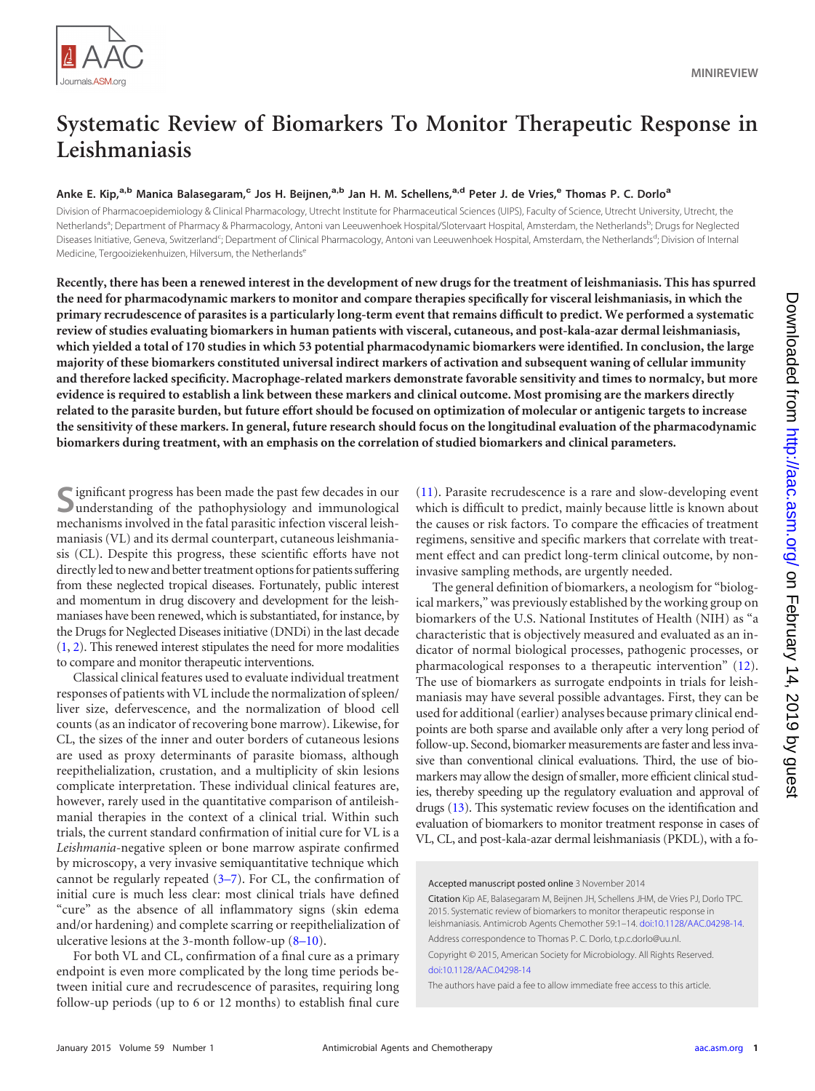

# **Systematic Review of Biomarkers To Monitor Therapeutic Response in Leishmaniasis**

# **Anke E. Kip,a,b Manica Balasegaram,<sup>c</sup> Jos H. Beijnen,a,b Jan H. M. Schellens,a,d Peter J. de Vries,<sup>e</sup> Thomas P. C. Dorlo<sup>a</sup>**

Division of Pharmacoepidemiology & Clinical Pharmacology, Utrecht Institute for Pharmaceutical Sciences (UIPS), Faculty of Science, Utrecht University, Utrecht, the Netherlands<sup>a</sup>; Department of Pharmacy & Pharmacology, Antoni van Leeuwenhoek Hospital/Slotervaart Hospital, Amsterdam, the Netherlands<sup>b</sup>; Drugs for Neglected Diseases Initiative, Geneva, Switzerland<sup>c</sup>; Department of Clinical Pharmacology, Antoni van Leeuwenhoek Hospital, Amsterdam, the Netherlands<sup>d</sup>; Division of Internal Medicine, Tergooiziekenhuizen, Hilversum, the Netherlands<sup>e</sup>

**Recently, there has been a renewed interest in the development of new drugs for the treatment of leishmaniasis. This has spurred the need for pharmacodynamic markers to monitor and compare therapies specifically for visceral leishmaniasis, in which the primary recrudescence of parasites is a particularly long-term event that remains difficult to predict. We performed a systematic review of studies evaluating biomarkers in human patients with visceral, cutaneous, and post-kala-azar dermal leishmaniasis, which yielded a total of 170 studies in which 53 potential pharmacodynamic biomarkers were identified. In conclusion, the large majority of these biomarkers constituted universal indirect markers of activation and subsequent waning of cellular immunity and therefore lacked specificity. Macrophage-related markers demonstrate favorable sensitivity and times to normalcy, but more evidence is required to establish a link between these markers and clinical outcome. Most promising are the markers directly related to the parasite burden, but future effort should be focused on optimization of molecular or antigenic targets to increase the sensitivity of these markers. In general, future research should focus on the longitudinal evaluation of the pharmacodynamic biomarkers during treatment, with an emphasis on the correlation of studied biomarkers and clinical parameters.**

**S**ignificant progress has been made the past few decades in our understanding of the pathophysiology and immunological mechanisms involved in the fatal parasitic infection visceral leishmaniasis (VL) and its dermal counterpart, cutaneous leishmaniasis (CL). Despite this progress, these scientific efforts have not directly led to new and better treatment options for patients suffering from these neglected tropical diseases. Fortunately, public interest and momentum in drug discovery and development for the leishmaniases have been renewed, which is substantiated, for instance, by the Drugs for Neglected Diseases initiative (DNDi) in the last decade [\(1,](#page-8-0) [2\)](#page-8-1). This renewed interest stipulates the need for more modalities to compare and monitor therapeutic interventions.

Classical clinical features used to evaluate individual treatment responses of patients with VL include the normalization of spleen/ liver size, defervescence, and the normalization of blood cell counts (as an indicator of recovering bone marrow). Likewise, for CL, the sizes of the inner and outer borders of cutaneous lesions are used as proxy determinants of parasite biomass, although reepithelialization, crustation, and a multiplicity of skin lesions complicate interpretation. These individual clinical features are, however, rarely used in the quantitative comparison of antileishmanial therapies in the context of a clinical trial. Within such trials, the current standard confirmation of initial cure for VL is a *Leishmania*-negative spleen or bone marrow aspirate confirmed by microscopy, a very invasive semiquantitative technique which cannot be regularly repeated  $(3-7)$  $(3-7)$  $(3-7)$ . For CL, the confirmation of initial cure is much less clear: most clinical trials have defined "cure" as the absence of all inflammatory signs (skin edema and/or hardening) and complete scarring or reepithelialization of ulcerative lesions at the 3-month follow-up  $(8-10)$  $(8-10)$  $(8-10)$ .

For both VL and CL, confirmation of a final cure as a primary endpoint is even more complicated by the long time periods between initial cure and recrudescence of parasites, requiring long follow-up periods (up to 6 or 12 months) to establish final cure [\(11\)](#page-8-8). Parasite recrudescence is a rare and slow-developing event which is difficult to predict, mainly because little is known about the causes or risk factors. To compare the efficacies of treatment regimens, sensitive and specific markers that correlate with treatment effect and can predict long-term clinical outcome, by noninvasive sampling methods, are urgently needed.

The general definition of biomarkers, a neologism for "biological markers," was previously established by the working group on biomarkers of the U.S. National Institutes of Health (NIH) as "a characteristic that is objectively measured and evaluated as an indicator of normal biological processes, pathogenic processes, or pharmacological responses to a therapeutic intervention" [\(12\)](#page-8-9). The use of biomarkers as surrogate endpoints in trials for leishmaniasis may have several possible advantages. First, they can be used for additional (earlier) analyses because primary clinical endpoints are both sparse and available only after a very long period of follow-up. Second, biomarker measurements arefaster and less invasive than conventional clinical evaluations. Third, the use of biomarkers may allow the design of smaller, more efficient clinical studies, thereby speeding up the regulatory evaluation and approval of drugs [\(13\)](#page-8-10). This systematic review focuses on the identification and evaluation of biomarkers to monitor treatment response in cases of VL, CL, and post-kala-azar dermal leishmaniasis (PKDL), with a fo-

Accepted manuscript posted online 3 November 2014

Citation Kip AE, Balasegaram M, Beijnen JH, Schellens JHM, de Vries PJ, Dorlo TPC. 2015. Systematic review of biomarkers to monitor therapeutic response in leishmaniasis. Antimicrob Agents Chemother 59:1–14. [doi:10.1128/AAC.04298-14.](http://dx.doi.org/10.1128/AAC.04298-14)

Address correspondence to Thomas P. C. Dorlo, t.p.c.dorlo@uu.nl.

Copyright © 2015, American Society for Microbiology. All Rights Reserved. [doi:10.1128/AAC.04298-14](http://dx.doi.org/10.1128/AAC.04298-14)

The authors have paid a fee to allow immediate free access to this article.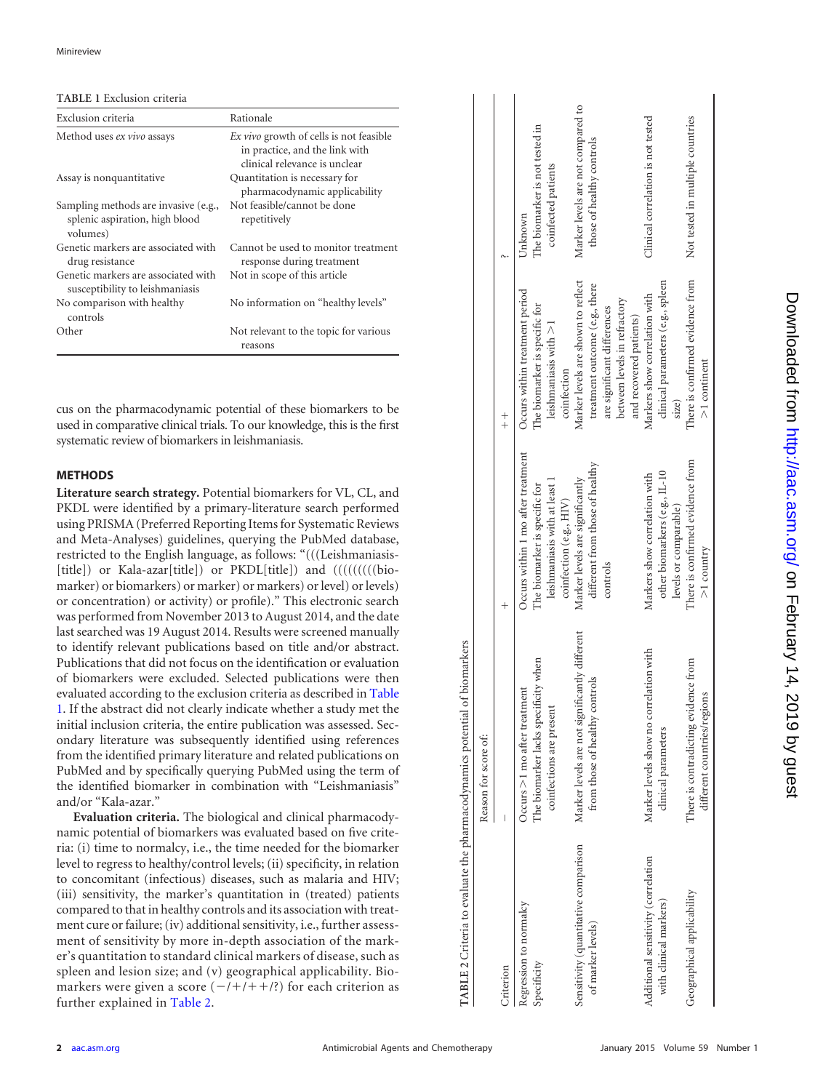<span id="page-1-0"></span>**TABLE 1** Exclusion criteria

| Exclusion criteria                                                                 | Rationale                                                                                                  |
|------------------------------------------------------------------------------------|------------------------------------------------------------------------------------------------------------|
| Method uses ex vivo assays                                                         | Ex vivo growth of cells is not feasible<br>in practice, and the link with<br>clinical relevance is unclear |
| Assay is nonquantitative                                                           | Quantitation is necessary for<br>pharmacodynamic applicability                                             |
| Sampling methods are invasive (e.g.,<br>splenic aspiration, high blood<br>volumes) | Not feasible/cannot be done<br>repetitively                                                                |
| Genetic markers are associated with<br>drug resistance                             | Cannot be used to monitor treatment<br>response during treatment                                           |
| Genetic markers are associated with<br>susceptibility to leishmaniasis             | Not in scope of this article                                                                               |
| No comparison with healthy<br>controls                                             | No information on "healthy levels"                                                                         |
| Other                                                                              | Not relevant to the topic for various<br>reasons                                                           |

cus on the pharmacodynamic potential of these biomarkers to be used in comparative clinical trials. To our knowledge, this is the first systematic review of biomarkers in leishmaniasis.

# **METHODS**

**Literature search strategy.** Potential biomarkers for VL, CL, and PKDL were identified by a primary-literature search performed using PRISMA (Preferred Reporting Items for Systematic Reviews and Meta-Analyses) guidelines, querying the PubMed database, restricted to the English language, as follows: "(((Leishmaniasis- [title]) or Kala-azar[title]) or  $PKDL$ [title]) and  $((((((6i)$ marker) or biomarkers) or marker) or markers) or level) or levels) or concentration) or activity) or profile)." This electronic search was performed from November 2013 to August 2014, and the date last searched was 19 August 2014. Results were screened manually to identify relevant publications based on title and/or abstract. Publications that did not focus on the identification or evaluation of biomarkers were excluded. Selected publications were then evaluated according to the exclusion criteria as described in [Table](#page-1-0) [1.](#page-1-0) If the abstract did not clearly indicate whether a study met the initial inclusion criteria, the entire publication was assessed. Secondary literature was subsequently identified using references from the identified primary literature and related publications on PubMed and by specifically querying PubMed using the term of the identified biomarker in combination with "Leishmaniasis" and/or "Kala-azar."

<span id="page-1-1"></span>**Evaluation criteria.** The biological and clinical pharmacodynamic potential of biomarkers was evaluated based on five criteria: (i) time to normalcy, i.e., the time needed for the biomarker level to regress to healthy/control levels; (ii) specificity, in relation to concomitant (infectious) diseases, such as malaria and HIV; (iii) sensitivity, the marker's quantitation in (treated) patients compared to that in healthy controls and its association with treatment cure or failure; (iv) additional sensitivity, i.e., further assessment of sensitivity by more in-depth association of the marker's quantitation to standard clinical markers of disease, such as spleen and lesion size; and (v) geographical applicability. Biomarkers were given a score  $(-/+/++)$ ?) for each criterion as further explained in [Table 2.](#page-1-1)

| coinfections are present<br>Regression to normalcy<br>Specificity<br>riterion        |                                                                                 |                                                                                                                                 |                                                                                                                                                                |                                                                  |
|--------------------------------------------------------------------------------------|---------------------------------------------------------------------------------|---------------------------------------------------------------------------------------------------------------------------------|----------------------------------------------------------------------------------------------------------------------------------------------------------------|------------------------------------------------------------------|
|                                                                                      |                                                                                 | $\,{}^{+}\,$                                                                                                                    | $+$                                                                                                                                                            |                                                                  |
|                                                                                      | The biomarker lacks specificity when<br>Occurs >1 mo after treatment            | Occurs within 1 mo after treatment<br>leishmaniasis with at least 1<br>The biomarker is specific for<br>coinfection (e.g., HIV) | Occurs within treatment period<br>The biomarker is specific for<br>leishmaniasis with $>1$<br>coinfection                                                      | The biomarker is not tested in<br>coinfected patients<br>Unknown |
| Sensitivity (quantitative comparison<br>of marker levels)                            | Marker levels are not significantly different<br>from those of healthy controls | different from those of healthy<br>Marker levels are significantly<br>controls                                                  | Marker levels are shown to reflect<br>treatment outcome (e.g., there<br>between levels in refractory<br>are significant differences<br>and recovered patients) | Marker levels are not compared to<br>those of healthy controls   |
| clinical parameters<br>Additional sensitivity (correlation<br>with clinical markers) | Marker levels show no correlation with                                          | other biomarkers (e.g., IL-10<br>Markers show correlation with<br>levels or comparable)                                         | clinical parameters (e.g., spleen<br>Markers show correlation with<br>size)                                                                                    | Clinical correlation is not tested                               |
| There is contradicting<br>Geographical applicability                                 | evidence from<br>different countries/regions                                    | There is confirmed evidence from<br>$>1$ country                                                                                | There is confirmed evidence from<br>$>1$ continent                                                                                                             | Not tested in multiple countries                                 |

I.  $\mathbf{I}$  and  $\mathbf{I}$   $\mathbf{I}$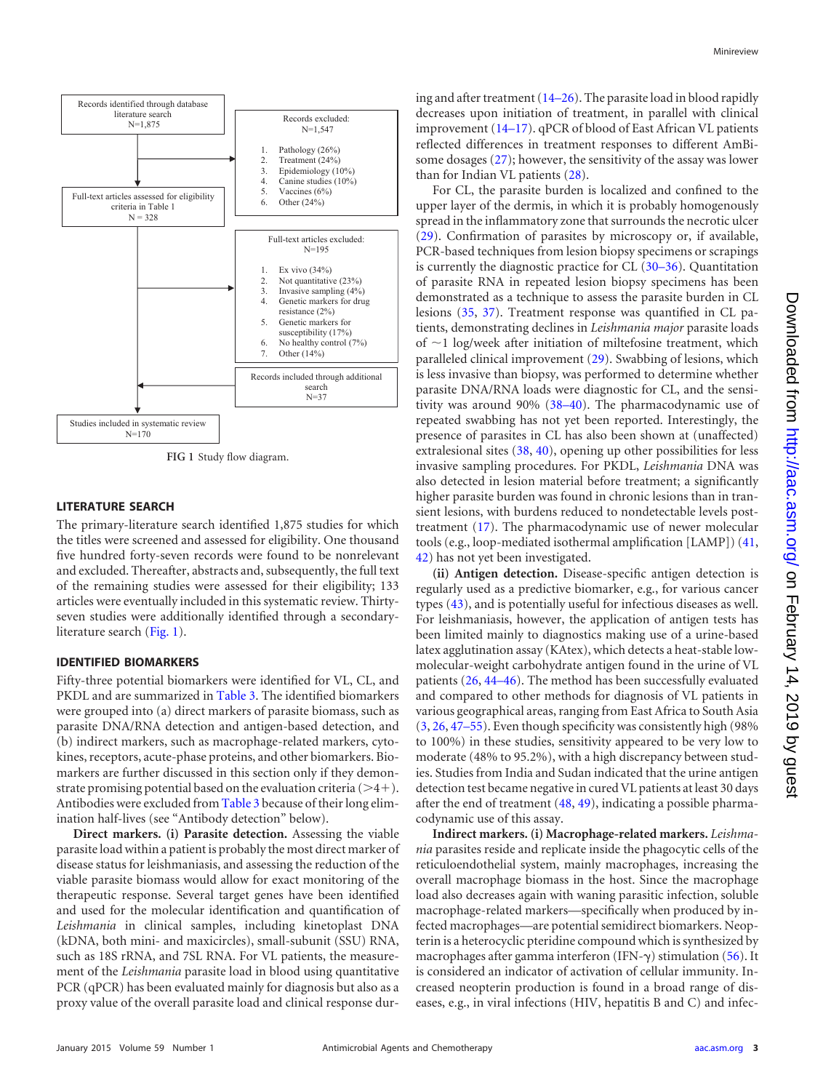



<span id="page-2-0"></span>**FIG 1** Study flow diagram.

# **LITERATURE SEARCH**

The primary-literature search identified 1,875 studies for which the titles were screened and assessed for eligibility. One thousand five hundred forty-seven records were found to be nonrelevant and excluded. Thereafter, abstracts and, subsequently, the full text of the remaining studies were assessed for their eligibility; 133 articles were eventually included in this systematic review. Thirtyseven studies were additionally identified through a secondaryliterature search [\(Fig. 1\)](#page-2-0).

## **IDENTIFIED BIOMARKERS**

Fifty-three potential biomarkers were identified for VL, CL, and PKDL and are summarized in [Table 3.](#page-3-0) The identified biomarkers were grouped into (a) direct markers of parasite biomass, such as parasite DNA/RNA detection and antigen-based detection, and (b) indirect markers, such as macrophage-related markers, cytokines, receptors, acute-phase proteins, and other biomarkers. Biomarkers are further discussed in this section only if they demonstrate promising potential based on the evaluation criteria  $(>4+)$ . Antibodies were excluded from [Table 3](#page-3-0) because of their long elimination half-lives (see "Antibody detection" below).

**Direct markers. (i) Parasite detection.** Assessing the viable parasite load within a patient is probably the most direct marker of disease status for leishmaniasis, and assessing the reduction of the viable parasite biomass would allow for exact monitoring of the therapeutic response. Several target genes have been identified and used for the molecular identification and quantification of *Leishmania* in clinical samples, including kinetoplast DNA (kDNA, both mini- and maxicircles), small-subunit (SSU) RNA, such as 18S rRNA, and 7SL RNA. For VL patients, the measurement of the *Leishmania* parasite load in blood using quantitative PCR (qPCR) has been evaluated mainly for diagnosis but also as a proxy value of the overall parasite load and clinical response during and after treatment [\(14](#page-8-11)[–](#page-8-12)[26\)](#page-8-13). The parasite load in blood rapidly decreases upon initiation of treatment, in parallel with clinical improvement [\(14](#page-8-11)[–](#page-8-14)[17\)](#page-8-15). qPCR of blood of East African VL patients reflected differences in treatment responses to different AmBisome dosages [\(27\)](#page-8-16); however, the sensitivity of the assay was lower than for Indian VL patients [\(28\)](#page-9-0).

For CL, the parasite burden is localized and confined to the upper layer of the dermis, in which it is probably homogenously spread in the inflammatory zone that surrounds the necrotic ulcer [\(29\)](#page-9-1). Confirmation of parasites by microscopy or, if available, PCR-based techniques from lesion biopsy specimens or scrapings is currently the diagnostic practice for CL [\(30](#page-9-2)[–](#page-9-3)[36\)](#page-9-4). Quantitation of parasite RNA in repeated lesion biopsy specimens has been demonstrated as a technique to assess the parasite burden in CL lesions [\(35,](#page-9-3) [37\)](#page-9-5). Treatment response was quantified in CL patients, demonstrating declines in *Leishmania major* parasite loads of  $\sim$ 1 log/week after initiation of miltefosine treatment, which paralleled clinical improvement [\(29\)](#page-9-1). Swabbing of lesions, which is less invasive than biopsy, was performed to determine whether parasite DNA/RNA loads were diagnostic for CL, and the sensitivity was around 90% [\(38](#page-9-6)[–](#page-9-7)[40\)](#page-9-8). The pharmacodynamic use of repeated swabbing has not yet been reported. Interestingly, the presence of parasites in CL has also been shown at (unaffected) extralesional sites [\(38,](#page-9-6) [40\)](#page-9-8), opening up other possibilities for less invasive sampling procedures. For PKDL, *Leishmania* DNA was also detected in lesion material before treatment; a significantly higher parasite burden was found in chronic lesions than in transient lesions, with burdens reduced to nondetectable levels posttreatment [\(17\)](#page-8-15). The pharmacodynamic use of newer molecular tools (e.g., loop-mediated isothermal amplification [LAMP]) [\(41,](#page-9-9) [42\)](#page-9-10) has not yet been investigated.

**(ii) Antigen detection.** Disease-specific antigen detection is regularly used as a predictive biomarker, e.g., for various cancer types [\(43\)](#page-9-11), and is potentially useful for infectious diseases as well. For leishmaniasis, however, the application of antigen tests has been limited mainly to diagnostics making use of a urine-based latex agglutination assay (KAtex), which detects a heat-stable lowmolecular-weight carbohydrate antigen found in the urine of VL patients [\(26,](#page-8-13) [44](#page-9-12)[–](#page-9-13)[46\)](#page-9-14). The method has been successfully evaluated and compared to other methods for diagnosis of VL patients in various geographical areas, ranging from East Africa to South Asia [\(3,](#page-8-2) [26,](#page-8-13) [47](#page-9-15)[–](#page-9-16)[55\)](#page-9-17). Even though specificity was consistently high (98% to 100%) in these studies, sensitivity appeared to be very low to moderate (48% to 95.2%), with a high discrepancy between studies. Studies from India and Sudan indicated that the urine antigen detection test became negative in cured VL patients at least 30 days after the end of treatment [\(48,](#page-9-18) [49\)](#page-9-19), indicating a possible pharmacodynamic use of this assay.

**Indirect markers. (i) Macrophage-related markers.** *Leishmania* parasites reside and replicate inside the phagocytic cells of the reticuloendothelial system, mainly macrophages, increasing the overall macrophage biomass in the host. Since the macrophage load also decreases again with waning parasitic infection, soluble macrophage-related markers—specifically when produced by infected macrophages—are potential semidirect biomarkers. Neopterin is a heterocyclic pteridine compound which is synthesized by macrophages after gamma interferon (IFN- $\gamma$ ) stimulation [\(56\)](#page-9-20). It is considered an indicator of activation of cellular immunity. Increased neopterin production is found in a broad range of diseases, e.g., in viral infections (HIV, hepatitis B and C) and infec-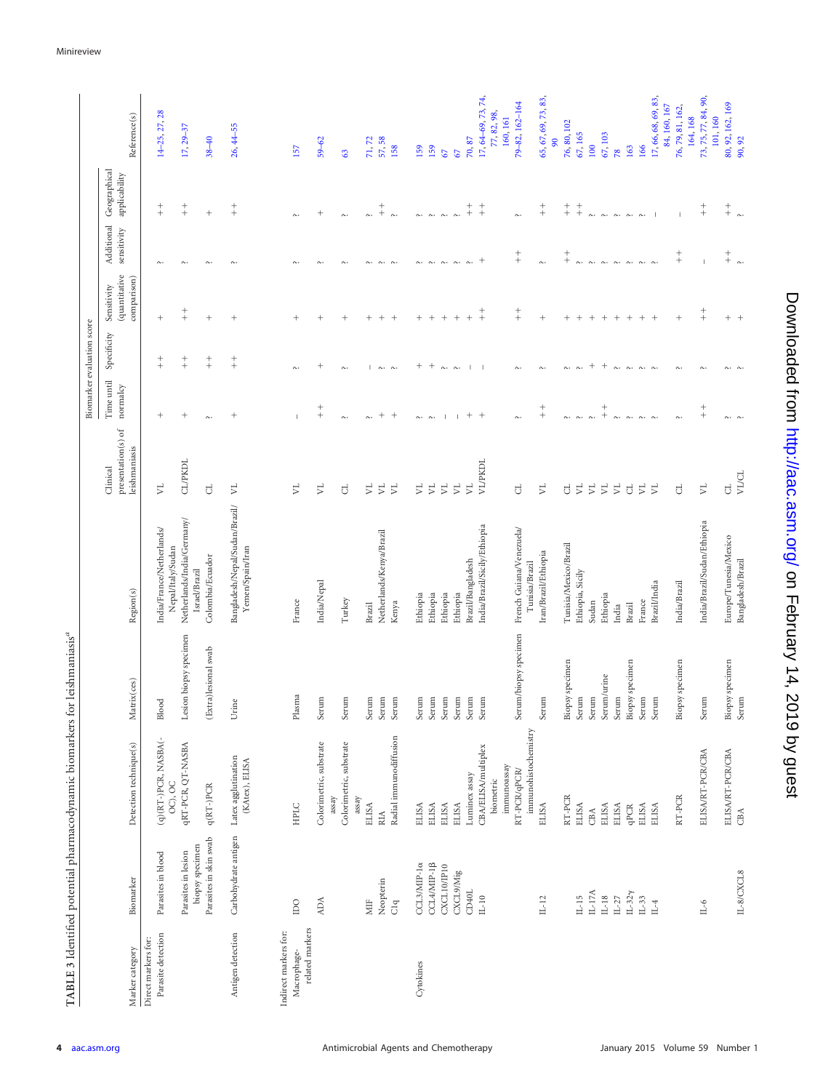|                                                         |                                        |                                       |                                                             |                                                    |                                |                        | Biomarker evaluation score |                              |                           |                                       |                                        |
|---------------------------------------------------------|----------------------------------------|---------------------------------------|-------------------------------------------------------------|----------------------------------------------------|--------------------------------|------------------------|----------------------------|------------------------------|---------------------------|---------------------------------------|----------------------------------------|
|                                                         |                                        |                                       |                                                             |                                                    | presentation(s) of<br>Clinical | Time until<br>normalcy | Specificity                | (quantitative<br>Sensitivity | Additional<br>sensitivity | Geographical<br>applicability         |                                        |
| Marker category                                         | Biomarker                              | Detection technique(s)                | Matrix(ces)                                                 | Region(s)                                          | leishmaniasis                  |                        |                            | comparison)                  |                           |                                       | Reference(s)                           |
| Parasite detection<br>Direct markers for:               | Parasites in blood                     | (q)(RT-)PCR, NASBA(-                  | Blood                                                       | India/France/Netherlands/                          | A.                             | $^{+}$                 | $+$                        |                              | $\sim$                    | $\begin{array}{c} + \\ + \end{array}$ | $14 - 25, 27, 28$                      |
|                                                         |                                        | OC), OC                               |                                                             | Nepal/Italy/Sudan                                  |                                |                        |                            |                              |                           |                                       |                                        |
|                                                         | biopsy specimen<br>Parasites in lesion | <b>qRT-PCR, QT-NASBA</b>              | Lesion biopsy specimen                                      | Netherlands/India/Germany/<br>Israel/Brazil        | CL/PKDL                        | $^{+}$                 | $+$                        | $\,{}^{+}\,$<br>$^{+}$       |                           | $+$                                   | 17, 29-37                              |
|                                                         | Parasites in skin swab                 | $q(RT-)PCR$                           | (Extra)lesional swab                                        | Colombia/Ecuador                                   | J                              | $\sim$                 | $+$                        | $^{+}$                       |                           | $^{+}$                                | $38 - 40$                              |
| Antigen detection                                       | Carbohydrate antigen                   | Latex agglutination<br>(KAtex), ELISA | Urine                                                       | Bangladesh/Nepal/Sudan/Brazil/<br>Yemen/Spain/Iran | ξ                              | $^{+}$                 | $+$                        | $^{+}$                       |                           | $+$                                   | $26, 44 - 55$                          |
| related markers<br>Indirect markers for:<br>Macrophage- | $_{\rm 0}$                             | HPLC                                  | $_{\rm Plasma}$                                             | France                                             | Σ                              |                        | $\sim$                     | $^{+}$                       |                           | $\sim$                                | 157                                    |
|                                                         | ADA                                    | Colorimetric, substrate               | Serum                                                       | India/Nepal                                        | A.                             | $+$                    | $^{+}$                     | $^{+}$                       |                           | $^{+}$                                | $59 - 62$                              |
|                                                         |                                        | Colorimetric, substrate<br>assay      | Serum                                                       | Turkey                                             | J                              | $\sim$                 | $\sim$                     | $\overline{+}$               |                           | $\sim$                                | ශ                                      |
|                                                         |                                        | assay                                 |                                                             |                                                    |                                |                        |                            |                              |                           |                                       |                                        |
|                                                         | MIF                                    | <b>ELISA</b>                          | Serum                                                       | Brazil                                             | Σ                              | $\sim$                 |                            |                              |                           | $\sim$                                | 71, 72                                 |
|                                                         | Neopterin                              | RIA                                   | Serum                                                       | Netherlands/Kenya/Brazil                           | 4<br>A.                        | $^{+}$<br>$^{+}$       | $\sim$ $\sim$              | $^{+}$                       |                           | $+$<br>$\sim$                         | 57, 58                                 |
|                                                         | C1q                                    | Radial immunodiffusion                | Serum                                                       | Kenya                                              |                                |                        |                            |                              |                           |                                       | 158                                    |
| Cytokines                                               | CCL3/MIP-1a                            | <b>ELISA</b>                          | Serum                                                       | Ethiopia                                           | ₽                              | $\sim$                 | $^+$                       |                              |                           | $\sim$                                | 159                                    |
|                                                         | CCL4/MIP-1β                            | <b>ELISA</b>                          | Serum                                                       | Ethiopia                                           | A.                             | $\sim$                 | $^{+}$                     |                              |                           |                                       | 159                                    |
|                                                         | CXCL10/IP10                            | <b>ELISA</b>                          | Serum                                                       | Ethiopia                                           | Σ                              | $\mathbf{I}$           | $\sim$                     | $\ddot{}$                    | $\sim$                    | $\sim$                                | 5                                      |
|                                                         | CXCL9/Mig                              | <b>ELISA</b>                          | Serum                                                       | Ethiopia                                           | A.                             | $\overline{1}$         | $\sim$                     | $\ddot{}$                    | $\sim$                    |                                       | 67                                     |
|                                                         | CD40L                                  | Luminex assay                         | $\begin{array}{c} \text{Serum} \\ \text{Serum} \end{array}$ | Brazil/Bangladesh                                  | Σ,                             | $^{+}$                 |                            |                              | $\sim$                    | $+$                                   | 70, 87                                 |
|                                                         | $_{\rm IL-10}$                         | CBA/ELISA/multiplex                   |                                                             | India/Brazil/Sicily/Ethiopia                       | VL/PKDL                        |                        |                            |                              | $^{+}$                    | $+$                                   | 17, 64-69, 73, 74,                     |
|                                                         |                                        | immunoassay<br>biometric              |                                                             |                                                    |                                |                        |                            |                              |                           |                                       | 77, 82, 98,<br>160, 161                |
|                                                         |                                        | RT-PCR/qPCR/                          | Serum/biopsy specimen                                       | French Guiana/Venezuela/                           | J                              |                        | $\sim$                     | $^+$                         | $+$                       | $\sim$                                | 79-82, 162-164                         |
|                                                         |                                        | immunohistochemistry                  |                                                             | Tunisia/Brazil                                     |                                |                        |                            |                              |                           |                                       |                                        |
|                                                         | $IL-12$                                | <b>ELISA</b>                          | Serum                                                       | Iran/Brazil/Ethiopia                               | ⊭                              | $+$                    | $\sim$                     | $^{+}$                       | $\sim$                    | $^+_{+}$                              | 65, 67, 69, 73, 83,<br>$\overline{90}$ |
|                                                         |                                        | RT-PCR                                |                                                             | Tunisia/Mexico/Brazil                              | J                              |                        | $\sim$                     |                              | $+$                       | $+$                                   | 76, 80, 102                            |
|                                                         | $IL-15$                                | <b>ELISA</b>                          | Biopsy specimen<br>Serum                                    | Ethiopia, Sicily                                   | ₹                              |                        | $\sim$                     |                              | $\sim$                    | $+$                                   | 67, 165                                |
|                                                         | $\text{II-17A}$                        | CBA                                   | Serum                                                       | Sudan                                              | ₽                              |                        | $^{+}$                     | $^{+}$                       | $\sim$                    |                                       | $\overline{100}$                       |
|                                                         | $IL-18$                                | <b>ELISA</b>                          | Serum/urine                                                 | Ethiopia                                           | ₹                              | $+$                    | $^{+}$                     |                              | $\sim$                    | $\sim$                                | 67, 103                                |
|                                                         | $IL-27$                                | <b>ELISA</b>                          | Serum                                                       | India                                              | $\sum$                         |                        | $\sim$                     | $^{+}$                       | $\sim$                    | $\sim$                                | 78                                     |
|                                                         | $IL-32\gamma$                          | <b>qPCR</b>                           | Biopsy specimen                                             | Brazil                                             | J                              |                        | $\sim$                     |                              | $\sim$                    | $\sim$                                | 163                                    |
|                                                         | $_{\rm IL-33}$                         | <b>ELISA</b>                          |                                                             | France                                             | $\sum$                         | $\sim$                 | $\sim$                     |                              | $\sim$                    | $\sim$                                | 166                                    |
|                                                         | $L-4$                                  | <b>ELISA</b>                          | $\begin{array}{c} \text{Serum} \\ \text{Serum} \end{array}$ | <b>Brazil/India</b>                                | ₹                              | $\sim$                 |                            |                              |                           |                                       | 17, 66, 68, 69, 83,                    |
|                                                         |                                        |                                       |                                                             |                                                    |                                |                        |                            |                              |                           |                                       | 84, 160, 167                           |
|                                                         |                                        | RT-PCR                                | Biopsy specimen                                             | India/Brazil                                       | J                              |                        |                            | $^{+}$                       | $+$                       |                                       | 76, 79, 81, 162,<br>164, 168           |
|                                                         | $1 - 6$                                | ELISA/RT-PCR/CBA                      | Serum                                                       | India/Brazil/Sudan/Ethiopia                        | Σ                              | $+$                    | $\sim$                     | $^+$                         | $\mathbf{I}$              | $+$                                   | 73, 75, 77, 84, 90,                    |
|                                                         |                                        |                                       |                                                             |                                                    |                                |                        |                            |                              |                           |                                       | 101,160                                |
|                                                         | $_{\rm I\!L-8/CXCLS}$                  | ELISA/RT-PCR/CBA<br>CBA               | Biopsy specimen<br>Serum                                    | Europe/Tunesia/Mexico<br>Bangladesh/Brazil         | <b>VL/CL</b><br>J              |                        |                            | $^{+}$                       | $_+^+$<br>$\sim$          | $+$<br>$\sim$                         | 80, 92, 162, 169<br>90, 92             |
|                                                         |                                        |                                       |                                                             |                                                    |                                |                        |                            |                              |                           |                                       |                                        |

## Minireview

<span id="page-3-0"></span>**TABLE 3** Identified potential pharmacodynamic biomarkers for leishmaniasis*a*

TABLE 3 Identified potential pharmacodynamic biomarkers for leishmaniasis<sup>a</sup>

# Downloaded from http://aac.asm.org/ on February 14, 2019 by guest Downloaded from <http://aac.asm.org/> on February 14, 2019 by guest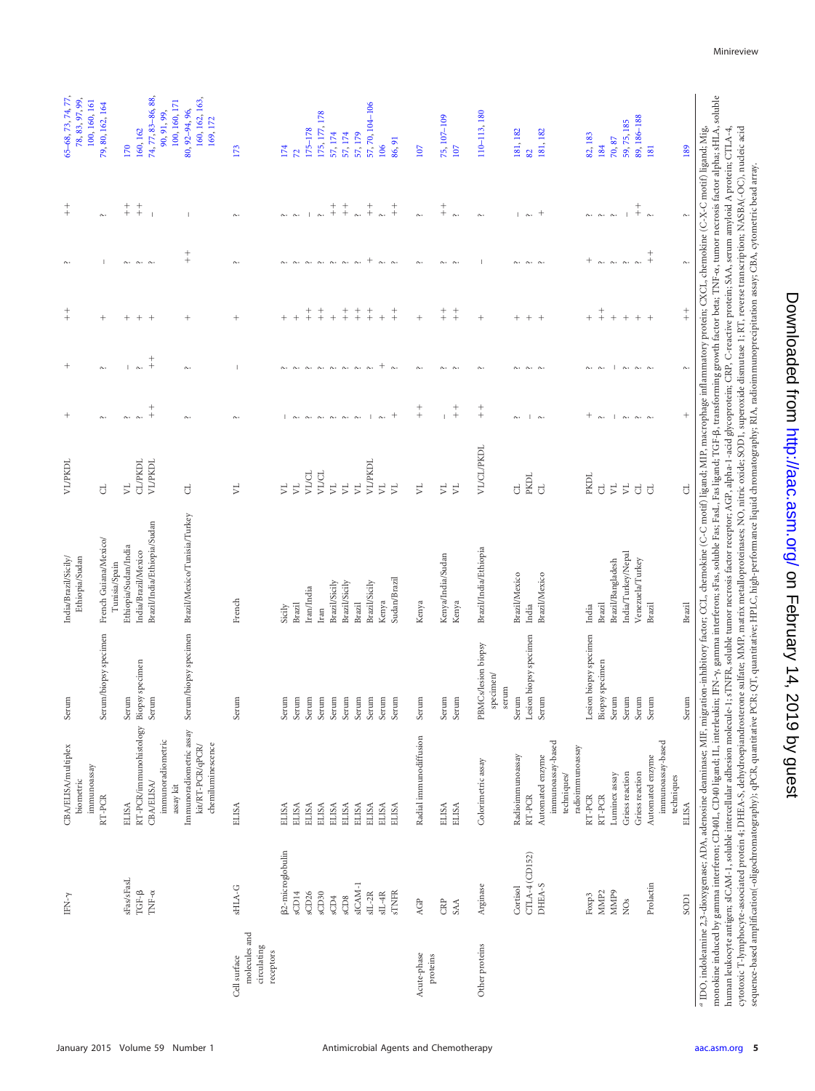| UCMINGRAPH IS IN INTERNATIONAL INTERNATIONAL |
|----------------------------------------------|
| n Hepruary、                                  |
| ļ<br>2019 yu gues<br>C                       |

| IDO, indoleamine 2.3-dioxygenase; ADA, adenosine deaminase; MIF, migration-inhibitory factor; CCL, chemokine (C-C motif) ligand; MIF, macrophage inflammatory protein; CXCL, chemokine (C-X-C motif) ligand; Mig,              |
|--------------------------------------------------------------------------------------------------------------------------------------------------------------------------------------------------------------------------------|
| nonokine induced by gamma interferon; CD401G, CD40 ligand; IL, interferlekin; IFN-1, gamma interferon; sFas, soluble Fas; Fas, Fas, Fas, Igand; TGF-β, transforming growth factor beta; TNF-α, tumor necrosis factor alpha; sF |
| numan leukocyte antigen; sICAM-1, soluble intercellular adhesion molecule-1; sTNFR, soluble tumor necrosis factor receptor; AGP, alpha-1-acid glycoprotein; CRP, G-reactive protein; SAA, serum amyloid A protein; CTLA-4,     |
| ytotoxic T-lymphocyte-associated protein 4; DHEA-S, dehydroepiandrosterone sulfate; MMP, matrix metalloproteinases; NO, nitric oxide; SOD1, superoxide dismutase 1; RT, reverse transcription; NASBA(-OC), nucleic acid        |
| PCR; QT, quantitative; HPLC, high-performance liquid chromatography; RIA, radioimmunoprecipitation assay; CBA, cytometric bead array.<br>sequence-based amplification(-oligochromatography); qPCR, quantitative F              |

| CBA/ELISA/multiplex<br>immunoassay<br>biometric                  | Serum |                                           | Ethiopia/Sudan<br>India/Brazil/Sicily/ |                             |                  |               |                                       |                  | $^+$                                            | 65-68, 73, 74, 77<br>78, 83, 97, 99,<br>100, 160, 161 |
|------------------------------------------------------------------|-------|-------------------------------------------|----------------------------------------|-----------------------------|------------------|---------------|---------------------------------------|------------------|-------------------------------------------------|-------------------------------------------------------|
|                                                                  |       | Serum/biopsy specimen                     | French Guiana/Mexico/<br>Tunisia/Spain | J                           | $\sim$           |               |                                       |                  |                                                 | 79, 80, 162, 164                                      |
|                                                                  |       | Serum                                     | Ethiopia/Sudan/India                   | A.                          |                  |               |                                       |                  | $+$                                             | 170                                                   |
|                                                                  |       | RT-PCR/immunohistology Biopsy specimen    | India/Brazil/Mexico                    | <b>CL/PKDI</b>              |                  |               |                                       | $\sim \sim \sim$ | $+$                                             | 160, 162                                              |
| immunoradiometric                                                |       | Serum                                     | Brazil/India/Ethiopia/Sudan            | VL/PKDL                     | $+$              |               |                                       |                  | $\overline{1}$                                  | 74, 77, 83-86, 88,<br>100, 160, 171<br>90, 91, 99,    |
| Immunoradiometric assay<br>chemiluminescence<br>kit/RT-PCR/qPCR/ |       | Serum/biopsy specimen                     | Brazil/Mexico/Tunisia/Turkey           | ರ                           | $\sim$           | $\sim$        | $^{+}$                                | $+$              |                                                 | 160, 162, 163<br>80, 92-94, 96,<br>169, 172           |
|                                                                  | Serum |                                           | French                                 | ξ                           |                  |               | $^{+}$                                | $\sim$           |                                                 | 173                                                   |
|                                                                  |       | Serum                                     | Sicily                                 | $\Sigma$                    |                  |               | $^{+}$                                |                  |                                                 | 174                                                   |
|                                                                  |       | Serum                                     | Brazil                                 | ξ                           |                  |               | $\ddot{}$                             |                  |                                                 | $\overline{z}$                                        |
|                                                                  |       | Serum                                     | Iran/India                             | <b>VL/CL</b>                |                  |               | $+$                                   |                  |                                                 | $175 - 178$                                           |
|                                                                  |       | Serum                                     | Iran                                   | <b>VL/CL</b>                |                  |               | $_+^+$                                | $\sim \sim$      |                                                 | 175, 177, 178                                         |
|                                                                  |       | Serum                                     | Brazil/Sicily                          | $\overline{\triangleright}$ | $\sim$           |               | $\ddot{}$                             | $\sim$           | $\begin{array}{c} + \\ + \end{array}$           | 57, 174                                               |
|                                                                  | Serum | Serum                                     | <b>Brazil/Sicily</b><br>Brazil         | $\overline{z}$<br>ΣÌ,       | $\sim$<br>$\sim$ |               | $_+^+$<br>$_+^+$                      | $\sim$           | $\begin{array}{c} + \\ + \end{array}$<br>$\sim$ | 57, 174<br>57, 179                                    |
|                                                                  | Serum |                                           | <b>Brazil/Sicily</b>                   | VL/PKDL                     | $\mathbf{I}$     |               | $+$                                   |                  | $+$                                             | 57, 70, 104-106                                       |
|                                                                  | Serum |                                           | Kenya                                  | A.                          | $\sim$           |               | $\ddot{}$                             | $\sim$           | $\sim$                                          | 106                                                   |
|                                                                  |       | Serum                                     | Sudan/Brazil                           | $\triangleright$            |                  |               | $+$                                   | $\sim$           | $\begin{array}{c} + \\ + \end{array}$           | 86,91                                                 |
| Radial immunodiffusion                                           | Serum |                                           | Kenya                                  | ξ                           | $+$              |               | $^{+}$                                | $\sim$           | $\sim$                                          | 107                                                   |
|                                                                  |       | Serum                                     | Kenya/India/Sudan                      | ξ                           |                  |               | $+$                                   |                  | $+$                                             | 75, 107-109                                           |
|                                                                  |       | Serum                                     | Kenya                                  | A.                          | $+$              |               | $+$                                   | $\sim$           | $\sim$                                          | 107                                                   |
| Colorimetric assay                                               |       | PBMCs/lesion biopsy<br>specimen/<br>serum | Brazil/India/Ethiopia                  | VL/CL/PKDI                  | $+$              |               | $^{+}$                                |                  |                                                 | 110-113, 180                                          |
| Radioimmunoassay                                                 |       | Serum                                     | Brazil/Mexico                          | đ                           | $\sim$           |               |                                       |                  |                                                 | 181, 182                                              |
|                                                                  |       | Lesion biopsy specimen                    | India                                  | <b>PKDL</b>                 | $\mathbf{L}$     |               |                                       |                  |                                                 | 82                                                    |
| immunoassay-based<br>radioimmunoassay<br>Automated enzyme        |       | Serum                                     | <b>Brazil/Mexico</b>                   | J                           | $\sim$           |               |                                       |                  |                                                 | 181, 182                                              |
|                                                                  |       |                                           |                                        |                             |                  |               |                                       |                  |                                                 |                                                       |
|                                                                  |       | Lesion biopsy specimen                    | India                                  | PKDI                        |                  |               |                                       |                  |                                                 | 82, 183                                               |
|                                                                  |       | Biopsy specimen                           | Brazil                                 | ರ                           |                  |               | $+$                                   |                  |                                                 | 184                                                   |
|                                                                  | Serum |                                           | Brazil/Bangladesh                      | A,                          |                  |               | $+$                                   |                  |                                                 | 70, 87                                                |
|                                                                  | Serum |                                           | India/Turkey/Nepal                     | $\sum$                      | $\sim$           |               | $\ddot{}$                             |                  |                                                 | 59, 75, 185                                           |
|                                                                  |       | Serum                                     | Venezuela/Turkey                       | J                           | $\sim$ $\sim$    | $\sim$ $\sim$ | $+$                                   |                  |                                                 | 89, 186-188                                           |
| Automated enzyme                                                 |       | Serum                                     | Brazil                                 | J                           |                  |               |                                       | $\frac{+}{+}$    |                                                 | 181                                                   |
| immunoassay-based                                                |       |                                           |                                        |                             |                  |               |                                       |                  |                                                 |                                                       |
|                                                                  |       | Serum                                     | Brazil                                 | J                           | $^{+}$           |               | $\begin{array}{c} + \\ + \end{array}$ | $\sim$           | $\sim$                                          | 189                                                   |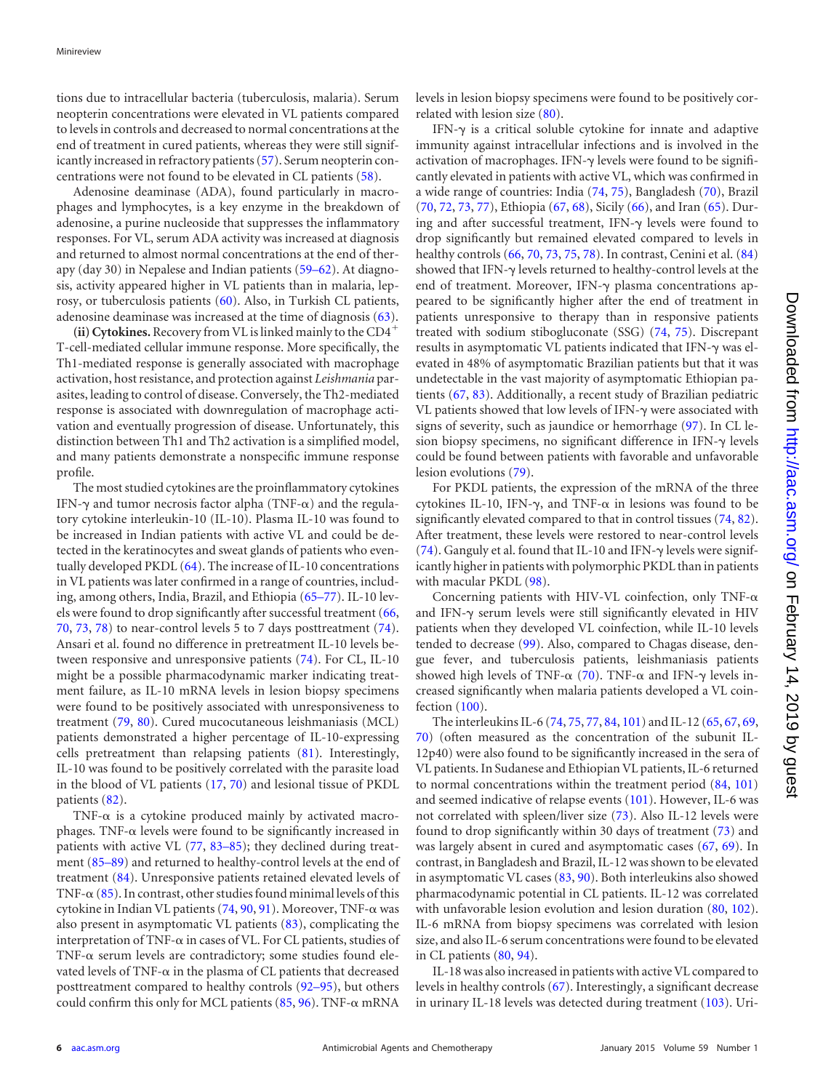tions due to intracellular bacteria (tuberculosis, malaria). Serum neopterin concentrations were elevated in VL patients compared to levels in controls and decreased to normal concentrations at the end of treatment in cured patients, whereas they were still significantly increased in refractory patients [\(57\)](#page-9-23). Serum neopterin concentrations were not found to be elevated in CL patients [\(58\)](#page-9-24).

Adenosine deaminase (ADA), found particularly in macrophages and lymphocytes, is a key enzyme in the breakdown of adenosine, a purine nucleoside that suppresses the inflammatory responses. For VL, serum ADA activity was increased at diagnosis and returned to almost normal concentrations at the end of therapy (day 30) in Nepalese and Indian patients [\(59](#page-9-21)[–](#page-9-22)[62\)](#page-10-0). At diagnosis, activity appeared higher in VL patients than in malaria, leprosy, or tuberculosis patients [\(60\)](#page-9-25). Also, in Turkish CL patients, adenosine deaminase was increased at the time of diagnosis [\(63\)](#page-10-1).

**(ii) Cytokines.** Recovery from VL is linked mainly to the  $CD4^+$ T-cell-mediated cellular immune response. More specifically, the Th1-mediated response is generally associated with macrophage activation, host resistance, and protection against *Leishmania* parasites, leading to control of disease. Conversely, the Th2-mediated response is associated with downregulation of macrophage activation and eventually progression of disease. Unfortunately, this distinction between Th1 and Th2 activation is a simplified model, and many patients demonstrate a nonspecific immune response profile.

The most studied cytokines are the proinflammatory cytokines IFN- $\gamma$  and tumor necrosis factor alpha (TNF- $\alpha$ ) and the regulatory cytokine interleukin-10 (IL-10). Plasma IL-10 was found to be increased in Indian patients with active VL and could be detected in the keratinocytes and sweat glands of patients who eventually developed PKDL [\(64\)](#page-10-7). The increase of IL-10 concentrations in VL patients was later confirmed in a range of countries, including, among others, India, Brazil, and Ethiopia [\(65](#page-10-16)[–](#page-10-19)[77\)](#page-10-12). IL-10 levels were found to drop significantly after successful treatment [\(66,](#page-10-22) [70,](#page-10-5) [73,](#page-10-10) [78\)](#page-10-21) to near-control levels 5 to 7 days posttreatment [\(74\)](#page-10-11). Ansari et al. found no difference in pretreatment IL-10 levels between responsive and unresponsive patients [\(74\)](#page-10-11). For CL, IL-10 might be a possible pharmacodynamic marker indicating treatment failure, as IL-10 mRNA levels in lesion biopsy specimens were found to be positively associated with unresponsiveness to treatment [\(79,](#page-10-14) [80\)](#page-10-20). Cured mucocutaneous leishmaniasis (MCL) patients demonstrated a higher percentage of IL-10-expressing cells pretreatment than relapsing patients [\(81\)](#page-10-15). Interestingly, IL-10 was found to be positively correlated with the parasite load in the blood of VL patients [\(17,](#page-8-15) [70\)](#page-10-5) and lesional tissue of PKDL patients [\(82\)](#page-10-13).

TNF- $\alpha$  is a cytokine produced mainly by activated macrophages. TNF- $\alpha$  levels were found to be significantly increased in patients with active VL [\(77,](#page-10-12) [83](#page-10-17)[–](#page-10-23)[85\)](#page-10-26); they declined during treatment [\(85](#page-10-26)[–](#page-10-28)[89\)](#page-10-30) and returned to healthy-control levels at the end of treatment [\(84\)](#page-10-23). Unresponsive patients retained elevated levels of TNF- $\alpha$  [\(85\)](#page-10-26). In contrast, other studies found minimal levels of this cytokine in Indian VL patients  $(74, 90, 91)$  $(74, 90, 91)$  $(74, 90, 91)$  $(74, 90, 91)$  $(74, 90, 91)$ . Moreover, TNF- $\alpha$  was also present in asymptomatic VL patients [\(83\)](#page-10-17), complicating the interpretation of TNF- $\alpha$  in cases of VL. For CL patients, studies of TNF- $\alpha$  serum levels are contradictory; some studies found elevated levels of TNF- $\alpha$  in the plasma of CL patients that decreased posttreatment compared to healthy controls [\(92](#page-10-25)[–](#page-11-8)[95\)](#page-11-19), but others could confirm this only for MCL patients  $(85, 96)$  $(85, 96)$  $(85, 96)$ . TNF- $\alpha$  mRNA

levels in lesion biopsy specimens were found to be positively correlated with lesion size [\(80\)](#page-10-20).

IFN- $\gamma$  is a critical soluble cytokine for innate and adaptive immunity against intracellular infections and is involved in the activation of macrophages. IFN- $\gamma$  levels were found to be significantly elevated in patients with active VL, which was confirmed in a wide range of countries: India [\(74,](#page-10-11) [75\)](#page-10-24), Bangladesh [\(70\)](#page-10-5), Brazil [\(70,](#page-10-5) [72,](#page-10-3) [73,](#page-10-10) [77\)](#page-10-12), Ethiopia [\(67,](#page-10-4) [68\)](#page-10-8), Sicily [\(66\)](#page-10-22), and Iran [\(65\)](#page-10-16). During and after successful treatment, IFN- $\gamma$  levels were found to drop significantly but remained elevated compared to levels in healthy controls [\(66,](#page-10-22) [70,](#page-10-5) [73,](#page-10-10) [75,](#page-10-24) [78\)](#page-10-21). In contrast, Cenini et al. [\(84\)](#page-10-23) showed that IFN- $\gamma$  levels returned to healthy-control levels at the end of treatment. Moreover, IFN- $\gamma$  plasma concentrations appeared to be significantly higher after the end of treatment in patients unresponsive to therapy than in responsive patients treated with sodium stibogluconate (SSG) [\(74,](#page-10-11) [75\)](#page-10-24). Discrepant results in asymptomatic VL patients indicated that IFN- $\gamma$  was elevated in 48% of asymptomatic Brazilian patients but that it was undetectable in the vast majority of asymptomatic Ethiopian patients [\(67,](#page-10-4) [83\)](#page-10-17). Additionally, a recent study of Brazilian pediatric VL patients showed that low levels of IFN- $\gamma$  were associated with signs of severity, such as jaundice or hemorrhage [\(97\)](#page-11-5). In CL lesion biopsy specimens, no significant difference in IFN- $\gamma$  levels could be found between patients with favorable and unfavorable lesion evolutions [\(79\)](#page-10-14).

For PKDL patients, the expression of the mRNA of the three cytokines IL-10, IFN- $\gamma$ , and TNF- $\alpha$  in lesions was found to be significantly elevated compared to that in control tissues [\(74,](#page-10-11) [82\)](#page-10-13). After treatment, these levels were restored to near-control levels [\(74\)](#page-10-11). Ganguly et al. found that IL-10 and IFN- $\gamma$  levels were significantly higher in patients with polymorphic PKDL than in patients with macular PKDL [\(98\)](#page-11-0).

Concerning patients with HIV-VL coinfection, only TNF- $\alpha$ and IFN- $\gamma$  serum levels were still significantly elevated in HIV patients when they developed VL coinfection, while IL-10 levels tended to decrease [\(99\)](#page-11-6). Also, compared to Chagas disease, dengue fever, and tuberculosis patients, leishmaniasis patients showed high levels of TNF- $\alpha$  [\(70\)](#page-10-5). TNF- $\alpha$  and IFN- $\gamma$  levels increased significantly when malaria patients developed a VL coinfection [\(100\)](#page-11-2).

The interleukins IL-6 [\(74,](#page-10-11) [75,](#page-10-24) [77,](#page-10-12) [84,](#page-10-23) [101\)](#page-11-4) and IL-12 [\(65,](#page-10-16) [67,](#page-10-4) [69,](#page-10-9) [70\)](#page-10-5) (often measured as the concentration of the subunit IL-12p40) were also found to be significantly increased in the sera of VL patients. In Sudanese and Ethiopian VL patients, IL-6 returned to normal concentrations within the treatment period [\(84,](#page-10-23) [101\)](#page-11-4) and seemed indicative of relapse events [\(101\)](#page-11-4). However, IL-6 was not correlated with spleen/liver size [\(73\)](#page-10-10). Also IL-12 levels were found to drop significantly within 30 days of treatment [\(73\)](#page-10-10) and was largely absent in cured and asymptomatic cases [\(67,](#page-10-4) [69\)](#page-10-9). In contrast, in Bangladesh and Brazil, IL-12 was shown to be elevated in asymptomatic VL cases [\(83,](#page-10-17) [90\)](#page-10-18). Both interleukins also showed pharmacodynamic potential in CL patients. IL-12 was correlated with unfavorable lesion evolution and lesion duration [\(80,](#page-10-20) [102\)](#page-11-1). IL-6 mRNA from biopsy specimens was correlated with lesion size, and also IL-6 serum concentrations were found to be elevated in CL patients [\(80,](#page-10-20) [94\)](#page-11-8).

IL-18was also increased in patients with active VL compared to levels in healthy controls [\(67\)](#page-10-4). Interestingly, a significant decrease in urinary IL-18 levels was detected during treatment [\(103\)](#page-11-3). Uri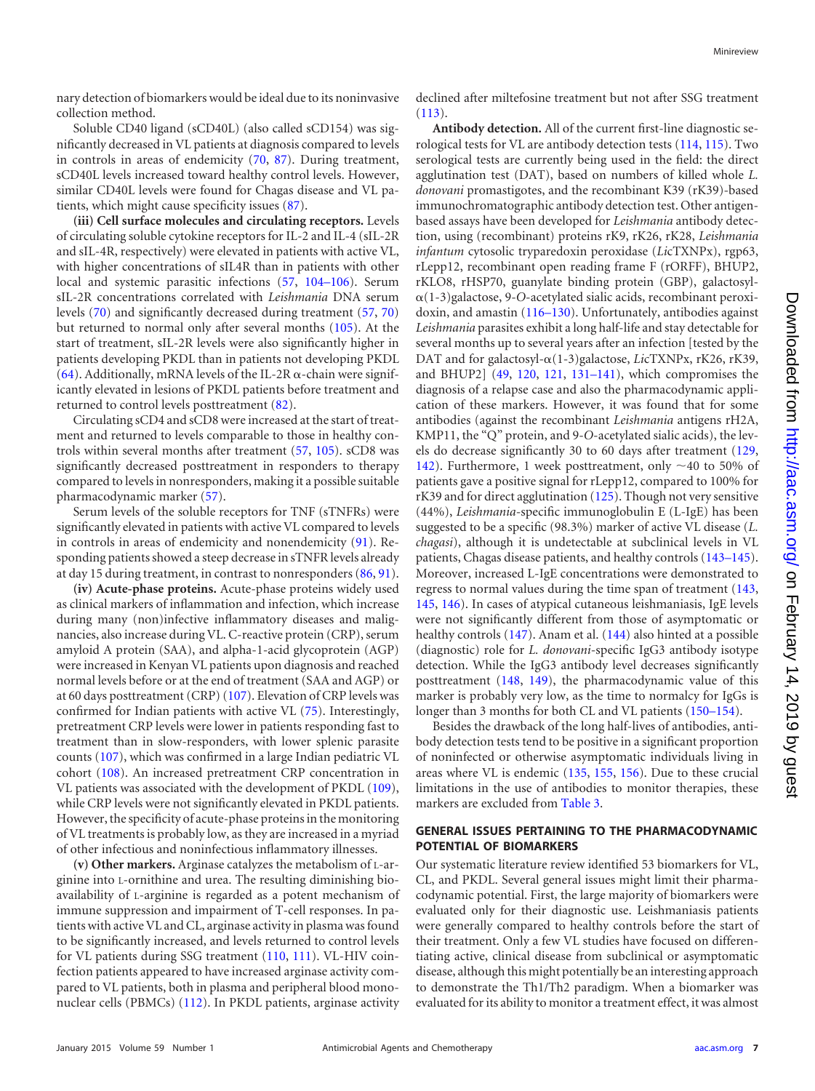nary detection of biomarkers would be ideal due to its noninvasive collection method.

Soluble CD40 ligand (sCD40L) (also called sCD154) was significantly decreased in VL patients at diagnosis compared to levels in controls in areas of endemicity [\(70,](#page-10-5) [87\)](#page-10-6). During treatment, sCD40L levels increased toward healthy control levels. However, similar CD40L levels were found for Chagas disease and VL patients, which might cause specificity issues [\(87\)](#page-10-6).

**(iii) Cell surface molecules and circulating receptors.** Levels of circulating soluble cytokine receptors for IL-2 and IL-4 (sIL-2R and sIL-4R, respectively) were elevated in patients with active VL, with higher concentrations of sIL4R than in patients with other local and systemic parasitic infections [\(57,](#page-9-23) [104](#page-11-10)[–](#page-11-11)[106\)](#page-11-12). Serum sIL-2R concentrations correlated with *Leishmania* DNA serum levels [\(70\)](#page-10-5) and significantly decreased during treatment [\(57,](#page-9-23) [70\)](#page-10-5) but returned to normal only after several months [\(105\)](#page-11-11). At the start of treatment, sIL-2R levels were also significantly higher in patients developing PKDL than in patients not developing PKDL [\(64\)](#page-10-7). Additionally, mRNA levels of the IL-2R  $\alpha$ -chain were significantly elevated in lesions of PKDL patients before treatment and returned to control levels posttreatment [\(82\)](#page-10-13).

Circulating sCD4 and sCD8 were increased at the start of treatment and returned to levels comparable to those in healthy controls within several months after treatment [\(57,](#page-9-23) [105\)](#page-11-11). sCD8 was significantly decreased posttreatment in responders to therapy compared to levels in nonresponders, making it a possible suitable pharmacodynamic marker [\(57\)](#page-9-23).

Serum levels of the soluble receptors for TNF (sTNFRs) were significantly elevated in patients with active VL compared to levels in controls in areas of endemicity and nonendemicity [\(91\)](#page-10-29). Responding patients showed a steep decrease in sTNFR levels already at day 15 during treatment, in contrast to nonresponders [\(86,](#page-10-27) [91\)](#page-10-29).

**(iv) Acute-phase proteins.** Acute-phase proteins widely used as clinical markers of inflammation and infection, which increase during many (non)infective inflammatory diseases and malignancies, also increase during VL. C-reactive protein (CRP), serum amyloid A protein (SAA), and alpha-1-acid glycoprotein (AGP) were increased in Kenyan VL patients upon diagnosis and reached normal levels before or at the end of treatment (SAA and AGP) or at 60 days posttreatment (CRP) [\(107\)](#page-11-13). Elevation of CRP levels was confirmed for Indian patients with active VL [\(75\)](#page-10-24). Interestingly, pretreatment CRP levels were lower in patients responding fast to treatment than in slow-responders, with lower splenic parasite counts [\(107\)](#page-11-13), which was confirmed in a large Indian pediatric VL cohort [\(108\)](#page-11-14). An increased pretreatment CRP concentration in VL patients was associated with the development of PKDL [\(109\)](#page-11-15), while CRP levels were not significantly elevated in PKDL patients. However, the specificity of acute-phase proteins in the monitoring of VL treatments is probably low, as they are increased in a myriad of other infectious and noninfectious inflammatory illnesses.

**(v) Other markers.** Arginase catalyzes the metabolism of L-arginine into L-ornithine and urea. The resulting diminishing bioavailability of L-arginine is regarded as a potent mechanism of immune suppression and impairment of T-cell responses. In patients with active VL and CL, arginase activity in plasma was found to be significantly increased, and levels returned to control levels for VL patients during SSG treatment [\(110,](#page-11-16) [111\)](#page-11-20). VL-HIV coinfection patients appeared to have increased arginase activity compared to VL patients, both in plasma and peripheral blood mononuclear cells (PBMCs) [\(112\)](#page-11-17). In PKDL patients, arginase activity

declined after miltefosine treatment but not after SSG treatment  $(113)$ .

**Antibody detection.** All of the current first-line diagnostic serological tests for VL are antibody detection tests [\(114,](#page-11-21) [115\)](#page-11-22). Two serological tests are currently being used in the field: the direct agglutination test (DAT), based on numbers of killed whole *L. donovani* promastigotes, and the recombinant K39 (rK39)-based immunochromatographic antibody detection test. Other antigenbased assays have been developed for *Leishmania* antibody detection, using (recombinant) proteins rK9, rK26, rK28, *Leishmania infantum* cytosolic tryparedoxin peroxidase (*Li*cTXNPx), rgp63, rLepp12, recombinant open reading frame F (rORFF), BHUP2, rKLO8, rHSP70, guanylate binding protein (GBP), galactosyl-  $\alpha(1-3)$ galactose, 9-*O*-acetylated sialic acids, recombinant peroxidoxin, and amastin [\(116](#page-11-23)[–](#page-12-1)[130\)](#page-12-2). Unfortunately, antibodies against *Leishmania* parasites exhibit a long half-life and stay detectable for several months up to several years after an infection [tested by the DAT and for galactosyl-α(1-3)galactose, *LicTXNPx*, rK26, rK39, and BHUP2] [\(49,](#page-9-19) [120,](#page-11-24) [121,](#page-11-25) [131](#page-12-3)[–](#page-12-4)[141\)](#page-12-5), which compromises the diagnosis of a relapse case and also the pharmacodynamic application of these markers. However, it was found that for some antibodies (against the recombinant *Leishmania* antigens rH2A, KMP11, the "Q" protein, and 9-*O*-acetylated sialic acids), the levels do decrease significantly 30 to 60 days after treatment [\(129,](#page-12-1) [142\)](#page-12-6). Furthermore, 1 week posttreatment, only  $\sim$  40 to 50% of patients gave a positive signal for rLepp12, compared to 100% for rK39 and for direct agglutination [\(125\)](#page-11-26). Though not very sensitive (44%), *Leishmania*-specific immunoglobulin E (L-IgE) has been suggested to be a specific (98.3%) marker of active VL disease (*L. chagasi*), although it is undetectable at subclinical levels in VL patients, Chagas disease patients, and healthy controls [\(143](#page-12-7)[–](#page-12-8)[145\)](#page-12-9). Moreover, increased L-IgE concentrations were demonstrated to regress to normal values during the time span of treatment [\(143,](#page-12-7) [145,](#page-12-9) [146\)](#page-12-10). In cases of atypical cutaneous leishmaniasis, IgE levels were not significantly different from those of asymptomatic or healthy controls [\(147\)](#page-12-11). Anam et al. [\(144\)](#page-12-8) also hinted at a possible (diagnostic) role for *L. donovani*-specific IgG3 antibody isotype detection. While the IgG3 antibody level decreases significantly posttreatment [\(148,](#page-12-12) [149\)](#page-12-13), the pharmacodynamic value of this marker is probably very low, as the time to normalcy for IgGs is longer than 3 months for both CL and VL patients [\(150](#page-12-14)[–](#page-12-15)[154\)](#page-12-16).

Besides the drawback of the long half-lives of antibodies, antibody detection tests tend to be positive in a significant proportion of noninfected or otherwise asymptomatic individuals living in areas where VL is endemic [\(135,](#page-12-17) [155,](#page-12-18) [156\)](#page-12-19). Due to these crucial limitations in the use of antibodies to monitor therapies, these markers are excluded from [Table 3.](#page-3-0)

# **GENERAL ISSUES PERTAINING TO THE PHARMACODYNAMIC POTENTIAL OF BIOMARKERS**

Our systematic literature review identified 53 biomarkers for VL, CL, and PKDL. Several general issues might limit their pharmacodynamic potential. First, the large majority of biomarkers were evaluated only for their diagnostic use. Leishmaniasis patients were generally compared to healthy controls before the start of their treatment. Only a few VL studies have focused on differentiating active, clinical disease from subclinical or asymptomatic disease, although this might potentially be an interesting approach to demonstrate the Th1/Th2 paradigm. When a biomarker was evaluated for its ability to monitor a treatment effect, it was almost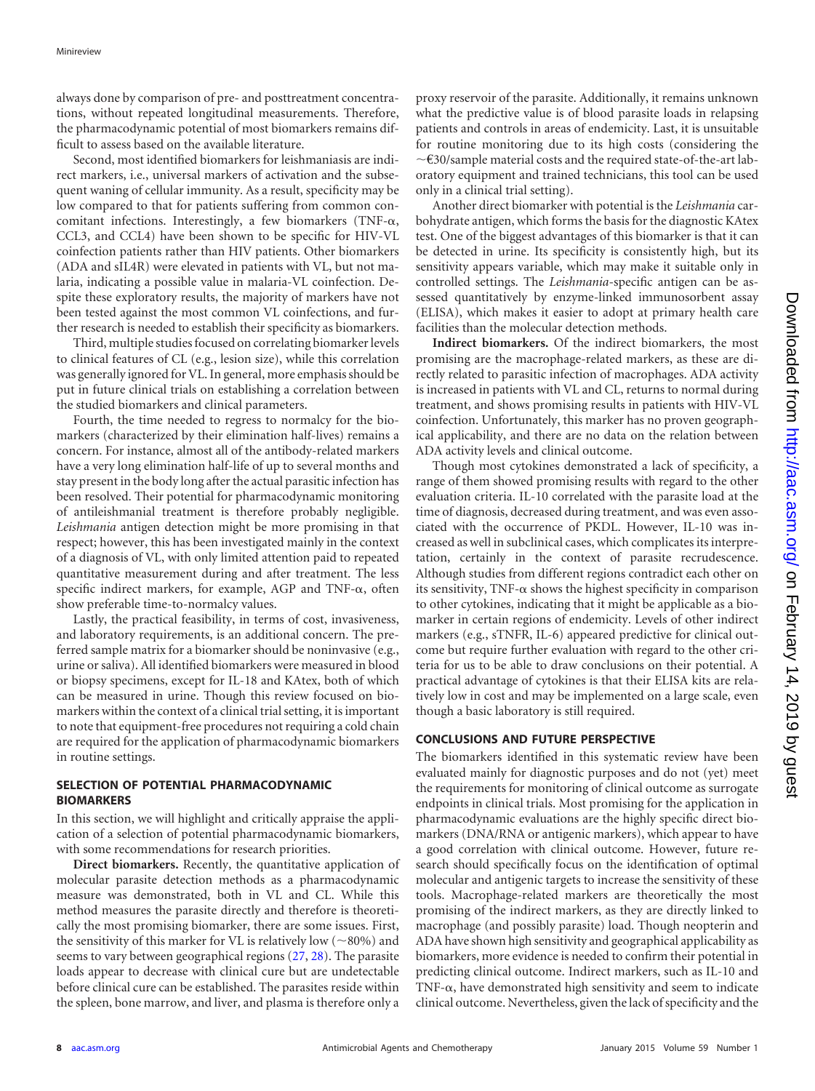always done by comparison of pre- and posttreatment concentrations, without repeated longitudinal measurements. Therefore, the pharmacodynamic potential of most biomarkers remains difficult to assess based on the available literature.

Second, most identified biomarkers for leishmaniasis are indirect markers, i.e., universal markers of activation and the subsequent waning of cellular immunity. As a result, specificity may be low compared to that for patients suffering from common concomitant infections. Interestingly, a few biomarkers (TNF- $\alpha$ , CCL3, and CCL4) have been shown to be specific for HIV-VL coinfection patients rather than HIV patients. Other biomarkers (ADA and sIL4R) were elevated in patients with VL, but not malaria, indicating a possible value in malaria-VL coinfection. Despite these exploratory results, the majority of markers have not been tested against the most common VL coinfections, and further research is needed to establish their specificity as biomarkers.

Third, multiple studies focused on correlating biomarker levels to clinical features of CL (e.g., lesion size), while this correlation was generally ignored for VL. In general, more emphasis should be put in future clinical trials on establishing a correlation between the studied biomarkers and clinical parameters.

Fourth, the time needed to regress to normalcy for the biomarkers (characterized by their elimination half-lives) remains a concern. For instance, almost all of the antibody-related markers have a very long elimination half-life of up to several months and stay present in the body long after the actual parasitic infection has been resolved. Their potential for pharmacodynamic monitoring of antileishmanial treatment is therefore probably negligible. *Leishmania* antigen detection might be more promising in that respect; however, this has been investigated mainly in the context of a diagnosis of VL, with only limited attention paid to repeated quantitative measurement during and after treatment. The less specific indirect markers, for example, AGP and TNF- $\alpha$ , often show preferable time-to-normalcy values.

Lastly, the practical feasibility, in terms of cost, invasiveness, and laboratory requirements, is an additional concern. The preferred sample matrix for a biomarker should be noninvasive (e.g., urine or saliva). All identified biomarkers were measured in blood or biopsy specimens, except for IL-18 and KAtex, both of which can be measured in urine. Though this review focused on biomarkers within the context of a clinical trial setting, it is important to note that equipment-free procedures not requiring a cold chain are required for the application of pharmacodynamic biomarkers in routine settings.

# **SELECTION OF POTENTIAL PHARMACODYNAMIC BIOMARKERS**

In this section, we will highlight and critically appraise the application of a selection of potential pharmacodynamic biomarkers, with some recommendations for research priorities.

**Direct biomarkers.** Recently, the quantitative application of molecular parasite detection methods as a pharmacodynamic measure was demonstrated, both in VL and CL. While this method measures the parasite directly and therefore is theoretically the most promising biomarker, there are some issues. First, the sensitivity of this marker for VL is relatively low ( $\sim$ 80%) and seems to vary between geographical regions [\(27,](#page-8-16) [28\)](#page-9-0). The parasite loads appear to decrease with clinical cure but are undetectable before clinical cure can be established. The parasites reside within the spleen, bone marrow, and liver, and plasma is therefore only a proxy reservoir of the parasite. Additionally, it remains unknown what the predictive value is of blood parasite loads in relapsing patients and controls in areas of endemicity. Last, it is unsuitable for routine monitoring due to its high costs (considering the  $\sim$  €30/sample material costs and the required state-of-the-art laboratory equipment and trained technicians, this tool can be used only in a clinical trial setting).

Another direct biomarker with potential is the *Leishmania* carbohydrate antigen, which forms the basis for the diagnostic KAtex test. One of the biggest advantages of this biomarker is that it can be detected in urine. Its specificity is consistently high, but its sensitivity appears variable, which may make it suitable only in controlled settings. The *Leishmania*-specific antigen can be assessed quantitatively by enzyme-linked immunosorbent assay (ELISA), which makes it easier to adopt at primary health care facilities than the molecular detection methods.

**Indirect biomarkers.** Of the indirect biomarkers, the most promising are the macrophage-related markers, as these are directly related to parasitic infection of macrophages. ADA activity is increased in patients with VL and CL, returns to normal during treatment, and shows promising results in patients with HIV-VL coinfection. Unfortunately, this marker has no proven geographical applicability, and there are no data on the relation between ADA activity levels and clinical outcome.

Though most cytokines demonstrated a lack of specificity, a range of them showed promising results with regard to the other evaluation criteria. IL-10 correlated with the parasite load at the time of diagnosis, decreased during treatment, and was even associated with the occurrence of PKDL. However, IL-10 was increased as well in subclinical cases, which complicates its interpretation, certainly in the context of parasite recrudescence. Although studies from different regions contradict each other on its sensitivity, TNF- $\alpha$  shows the highest specificity in comparison to other cytokines, indicating that it might be applicable as a biomarker in certain regions of endemicity. Levels of other indirect markers (e.g., sTNFR, IL-6) appeared predictive for clinical outcome but require further evaluation with regard to the other criteria for us to be able to draw conclusions on their potential. A practical advantage of cytokines is that their ELISA kits are relatively low in cost and may be implemented on a large scale, even though a basic laboratory is still required.

# **CONCLUSIONS AND FUTURE PERSPECTIVE**

The biomarkers identified in this systematic review have been evaluated mainly for diagnostic purposes and do not (yet) meet the requirements for monitoring of clinical outcome as surrogate endpoints in clinical trials. Most promising for the application in pharmacodynamic evaluations are the highly specific direct biomarkers (DNA/RNA or antigenic markers), which appear to have a good correlation with clinical outcome. However, future research should specifically focus on the identification of optimal molecular and antigenic targets to increase the sensitivity of these tools. Macrophage-related markers are theoretically the most promising of the indirect markers, as they are directly linked to macrophage (and possibly parasite) load. Though neopterin and ADA have shown high sensitivity and geographical applicability as biomarkers, more evidence is needed to confirm their potential in predicting clinical outcome. Indirect markers, such as IL-10 and TNF- $\alpha$ , have demonstrated high sensitivity and seem to indicate clinical outcome. Nevertheless, given the lack of specificity and the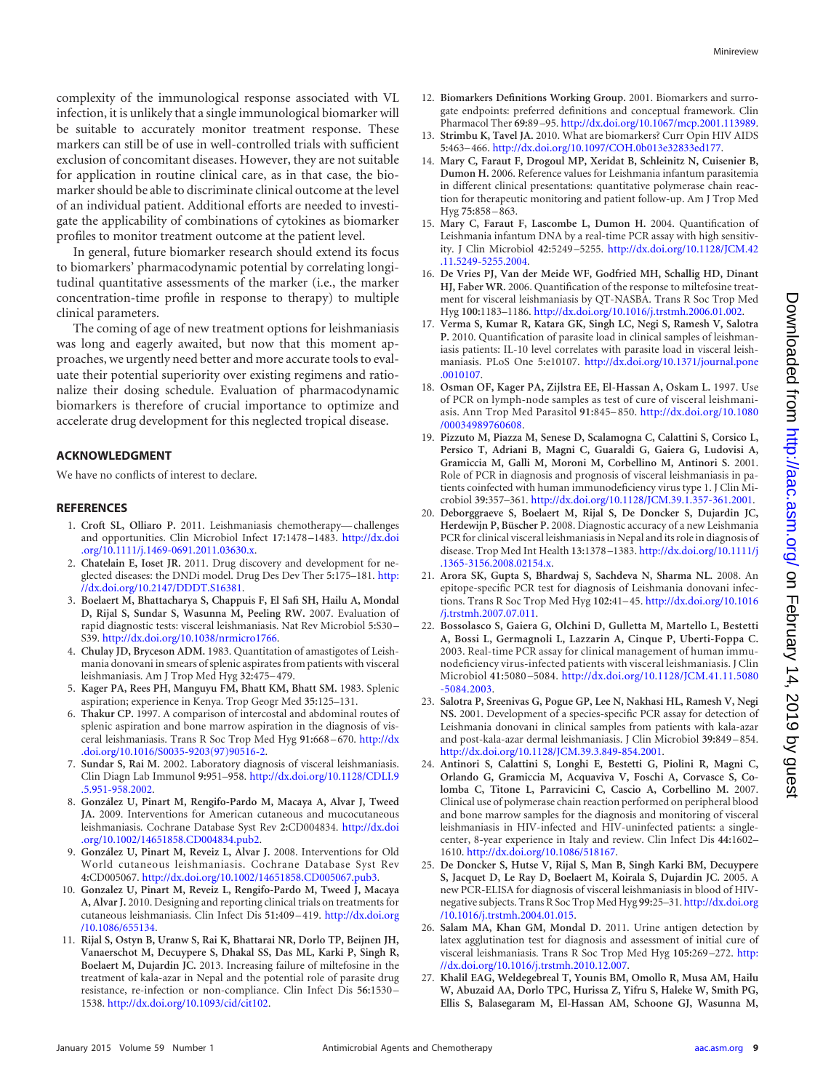complexity of the immunological response associated with VL infection, it is unlikely that a single immunological biomarker will be suitable to accurately monitor treatment response. These markers can still be of use in well-controlled trials with sufficient exclusion of concomitant diseases. However, they are not suitable for application in routine clinical care, as in that case, the biomarker should be able to discriminate clinical outcome at the level of an individual patient. Additional efforts are needed to investigate the applicability of combinations of cytokines as biomarker profiles to monitor treatment outcome at the patient level.

In general, future biomarker research should extend its focus to biomarkers' pharmacodynamic potential by correlating longitudinal quantitative assessments of the marker (i.e., the marker concentration-time profile in response to therapy) to multiple clinical parameters.

The coming of age of new treatment options for leishmaniasis was long and eagerly awaited, but now that this moment approaches, we urgently need better and more accurate tools to evaluate their potential superiority over existing regimens and rationalize their dosing schedule. Evaluation of pharmacodynamic biomarkers is therefore of crucial importance to optimize and accelerate drug development for this neglected tropical disease.

## **ACKNOWLEDGMENT**

We have no conflicts of interest to declare.

### <span id="page-8-0"></span>**REFERENCES**

- 1. **Croft SL, Olliaro P.** 2011. Leishmaniasis chemotherapy— challenges and opportunities. Clin Microbiol Infect **17:**1478 –1483. [http://dx.doi](http://dx.doi.org/10.1111/j.1469-0691.2011.03630.x) [.org/10.1111/j.1469-0691.2011.03630.x.](http://dx.doi.org/10.1111/j.1469-0691.2011.03630.x)
- <span id="page-8-1"></span>2. **Chatelain E, Ioset JR.** 2011. Drug discovery and development for neglected diseases: the DNDi model. Drug Des Dev Ther **5:**175–181. [http:](http://dx.doi.org/10.2147/DDDT.S16381) [//dx.doi.org/10.2147/DDDT.S16381.](http://dx.doi.org/10.2147/DDDT.S16381)
- <span id="page-8-2"></span>3. **Boelaert M, Bhattacharya S, Chappuis F, El Safi SH, Hailu A, Mondal D, Rijal S, Sundar S, Wasunna M, Peeling RW.** 2007. Evaluation of rapid diagnostic tests: visceral leishmaniasis. Nat Rev Microbiol **5:**S30 – S39. [http://dx.doi.org/10.1038/nrmicro1766.](http://dx.doi.org/10.1038/nrmicro1766)
- 4. **Chulay JD, Bryceson ADM.** 1983. Quantitation of amastigotes of Leishmania donovani in smears of splenic aspirates from patients with visceral leishmaniasis. Am J Trop Med Hyg **32:**475–479.
- <span id="page-8-3"></span>5. **Kager PA, Rees PH, Manguyu FM, Bhatt KM, Bhatt SM.** 1983. Splenic aspiration; experience in Kenya. Trop Geogr Med **35:**125–131.
- 6. **Thakur CP.** 1997. A comparison of intercostal and abdominal routes of splenic aspiration and bone marrow aspiration in the diagnosis of visceral leishmaniasis. Trans R Soc Trop Med Hyg **91:**668 –670. [http://dx](http://dx.doi.org/10.1016/S0035-9203(97)90516-2) [.doi.org/10.1016/S0035-9203\(97\)90516-2.](http://dx.doi.org/10.1016/S0035-9203(97)90516-2)
- <span id="page-8-5"></span><span id="page-8-4"></span>7. **Sundar S, Rai M.** 2002. Laboratory diagnosis of visceral leishmaniasis. Clin Diagn Lab Immunol **9:**951–958. [http://dx.doi.org/10.1128/CDLI.9](http://dx.doi.org/10.1128/CDLI.9.5.951-958.2002) [.5.951-958.2002.](http://dx.doi.org/10.1128/CDLI.9.5.951-958.2002)
- 8. **González U, Pinart M, Rengifo-Pardo M, Macaya A, Alvar J, Tweed JA.** 2009. Interventions for American cutaneous and mucocutaneous leishmaniasis. Cochrane Database Syst Rev **2:**CD004834. [http://dx.doi](http://dx.doi.org/10.1002/14651858.CD004834.pub2) [.org/10.1002/14651858.CD004834.pub2.](http://dx.doi.org/10.1002/14651858.CD004834.pub2)
- <span id="page-8-6"></span>9. **González U, Pinart M, Reveiz L, Alvar J.** 2008. Interventions for Old World cutaneous leishmaniasis. Cochrane Database Syst Rev **4:**CD005067. [http://dx.doi.org/10.1002/14651858.CD005067.pub3.](http://dx.doi.org/10.1002/14651858.CD005067.pub3)
- <span id="page-8-7"></span>10. **Gonzalez U, Pinart M, Reveiz L, Rengifo-Pardo M, Tweed J, Macaya A, Alvar J.** 2010. Designing and reporting clinical trials on treatments for cutaneous leishmaniasis. Clin Infect Dis **51:**409 –419. [http://dx.doi.org](http://dx.doi.org/10.1086/655134) [/10.1086/655134.](http://dx.doi.org/10.1086/655134)
- <span id="page-8-8"></span>11. **Rijal S, Ostyn B, Uranw S, Rai K, Bhattarai NR, Dorlo TP, Beijnen JH, Vanaerschot M, Decuypere S, Dhakal SS, Das ML, Karki P, Singh R, Boelaert M, Dujardin JC.** 2013. Increasing failure of miltefosine in the treatment of kala-azar in Nepal and the potential role of parasite drug resistance, re-infection or non-compliance. Clin Infect Dis **56:**1530 – 1538. [http://dx.doi.org/10.1093/cid/cit102.](http://dx.doi.org/10.1093/cid/cit102)
- <span id="page-8-9"></span>12. **Biomarkers Definitions Working Group.** 2001. Biomarkers and surrogate endpoints: preferred definitions and conceptual framework. Clin Pharmacol Ther **69:**89 –95. [http://dx.doi.org/10.1067/mcp.2001.113989.](http://dx.doi.org/10.1067/mcp.2001.113989)
- <span id="page-8-10"></span>13. **Strimbu K, Tavel JA.** 2010. What are biomarkers? Curr Opin HIV AIDS **5:**463–466. [http://dx.doi.org/10.1097/COH.0b013e32833ed177.](http://dx.doi.org/10.1097/COH.0b013e32833ed177)
- <span id="page-8-11"></span>14. **Mary C, Faraut F, Drogoul MP, Xeridat B, Schleinitz N, Cuisenier B, Dumon H.** 2006. Reference values for Leishmania infantum parasitemia in different clinical presentations: quantitative polymerase chain reaction for therapeutic monitoring and patient follow-up. Am J Trop Med Hyg **75:**858 –863.
- 15. **Mary C, Faraut F, Lascombe L, Dumon H.** 2004. Quantification of Leishmania infantum DNA by a real-time PCR assay with high sensitivity. J Clin Microbiol **42:**5249 –5255. [http://dx.doi.org/10.1128/JCM.42](http://dx.doi.org/10.1128/JCM.42.11.5249-5255.2004) [.11.5249-5255.2004.](http://dx.doi.org/10.1128/JCM.42.11.5249-5255.2004)
- <span id="page-8-14"></span>16. **De Vries PJ, Van der Meide WF, Godfried MH, Schallig HD, Dinant HJ, Faber WR.** 2006. Quantification of the response to miltefosine treatment for visceral leishmaniasis by QT-NASBA. Trans R Soc Trop Med Hyg **100:**1183–1186. [http://dx.doi.org/10.1016/j.trstmh.2006.01.002.](http://dx.doi.org/10.1016/j.trstmh.2006.01.002)
- <span id="page-8-15"></span>17. **Verma S, Kumar R, Katara GK, Singh LC, Negi S, Ramesh V, Salotra P.** 2010. Quantification of parasite load in clinical samples of leishmaniasis patients: IL-10 level correlates with parasite load in visceral leishmaniasis. PLoS One **5:**e10107. [http://dx.doi.org/10.1371/journal.pone](http://dx.doi.org/10.1371/journal.pone.0010107) [.0010107.](http://dx.doi.org/10.1371/journal.pone.0010107)
- 18. **Osman OF, Kager PA, Zijlstra EE, El-Hassan A, Oskam L.** 1997. Use of PCR on lymph-node samples as test of cure of visceral leishmaniasis. Ann Trop Med Parasitol **91:**845–850. [http://dx.doi.org/10.1080](http://dx.doi.org/10.1080/00034989760608) [/00034989760608.](http://dx.doi.org/10.1080/00034989760608)
- 19. **Pizzuto M, Piazza M, Senese D, Scalamogna C, Calattini S, Corsico L, Persico T, Adriani B, Magni C, Guaraldi G, Gaiera G, Ludovisi A, Gramiccia M, Galli M, Moroni M, Corbellino M, Antinori S.** 2001. Role of PCR in diagnosis and prognosis of visceral leishmaniasis in patients coinfected with human immunodeficiency virus type 1. J Clin Microbiol **39:**357–361. [http://dx.doi.org/10.1128/JCM.39.1.357-361.2001.](http://dx.doi.org/10.1128/JCM.39.1.357-361.2001)
- 20. **Deborggraeve S, Boelaert M, Rijal S, De Doncker S, Dujardin JC, Herdewijn P, Büscher P.** 2008. Diagnostic accuracy of a new Leishmania PCR for clinical visceral leishmaniasis in Nepal and its role in diagnosis of disease. Trop Med Int Health **13:**1378 –1383. [http://dx.doi.org/10.1111/j](http://dx.doi.org/10.1111/j.1365-3156.2008.02154.x) [.1365-3156.2008.02154.x.](http://dx.doi.org/10.1111/j.1365-3156.2008.02154.x)
- 21. **Arora SK, Gupta S, Bhardwaj S, Sachdeva N, Sharma NL.** 2008. An epitope-specific PCR test for diagnosis of Leishmania donovani infections. Trans R Soc Trop Med Hyg **102:**41–45. [http://dx.doi.org/10.1016](http://dx.doi.org/10.1016/j.trstmh.2007.07.011) [/j.trstmh.2007.07.011.](http://dx.doi.org/10.1016/j.trstmh.2007.07.011)
- 22. **Bossolasco S, Gaiera G, Olchini D, Gulletta M, Martello L, Bestetti A, Bossi L, Germagnoli L, Lazzarin A, Cinque P, Uberti-Foppa C.** 2003. Real-time PCR assay for clinical management of human immunodeficiency virus-infected patients with visceral leishmaniasis. J Clin Microbiol **41:**5080 –5084. [http://dx.doi.org/10.1128/JCM.41.11.5080](http://dx.doi.org/10.1128/JCM.41.11.5080-5084.2003) [-5084.2003.](http://dx.doi.org/10.1128/JCM.41.11.5080-5084.2003)
- 23. **Salotra P, Sreenivas G, Pogue GP, Lee N, Nakhasi HL, Ramesh V, Negi NS.** 2001. Development of a species-specific PCR assay for detection of Leishmania donovani in clinical samples from patients with kala-azar and post-kala-azar dermal leishmaniasis. J Clin Microbiol **39:**849 –854. [http://dx.doi.org/10.1128/JCM.39.3.849-854.2001.](http://dx.doi.org/10.1128/JCM.39.3.849-854.2001)
- <span id="page-8-17"></span>24. **Antinori S, Calattini S, Longhi E, Bestetti G, Piolini R, Magni C, Orlando G, Gramiccia M, Acquaviva V, Foschi A, Corvasce S, Colomba C, Titone L, Parravicini C, Cascio A, Corbellino M.** 2007. Clinical use of polymerase chain reaction performed on peripheral blood and bone marrow samples for the diagnosis and monitoring of visceral leishmaniasis in HIV-infected and HIV-uninfected patients: a singlecenter, 8-year experience in Italy and review. Clin Infect Dis **44:**1602– 1610. [http://dx.doi.org/10.1086/518167.](http://dx.doi.org/10.1086/518167)
- <span id="page-8-12"></span>25. **De Doncker S, Hutse V, Rijal S, Man B, Singh Karki BM, Decuypere S, Jacquet D, Le Ray D, Boelaert M, Koirala S, Dujardin JC.** 2005. A new PCR-ELISA for diagnosis of visceral leishmaniasis in blood of HIVnegative subjects. Trans R Soc Trop Med Hyg **99:**25–31. [http://dx.doi.org](http://dx.doi.org/10.1016/j.trstmh.2004.01.015) [/10.1016/j.trstmh.2004.01.015.](http://dx.doi.org/10.1016/j.trstmh.2004.01.015)
- <span id="page-8-13"></span>26. **Salam MA, Khan GM, Mondal D.** 2011. Urine antigen detection by latex agglutination test for diagnosis and assessment of initial cure of visceral leishmaniasis. Trans R Soc Trop Med Hyg **105:**269 –272. [http:](http://dx.doi.org/10.1016/j.trstmh.2010.12.007) [//dx.doi.org/10.1016/j.trstmh.2010.12.007.](http://dx.doi.org/10.1016/j.trstmh.2010.12.007)
- <span id="page-8-16"></span>27. **Khalil EAG, Weldegebreal T, Younis BM, Omollo R, Musa AM, Hailu W, Abuzaid AA, Dorlo TPC, Hurissa Z, Yifru S, Haleke W, Smith PG, Ellis S, Balasegaram M, El-Hassan AM, Schoone GJ, Wasunna M,**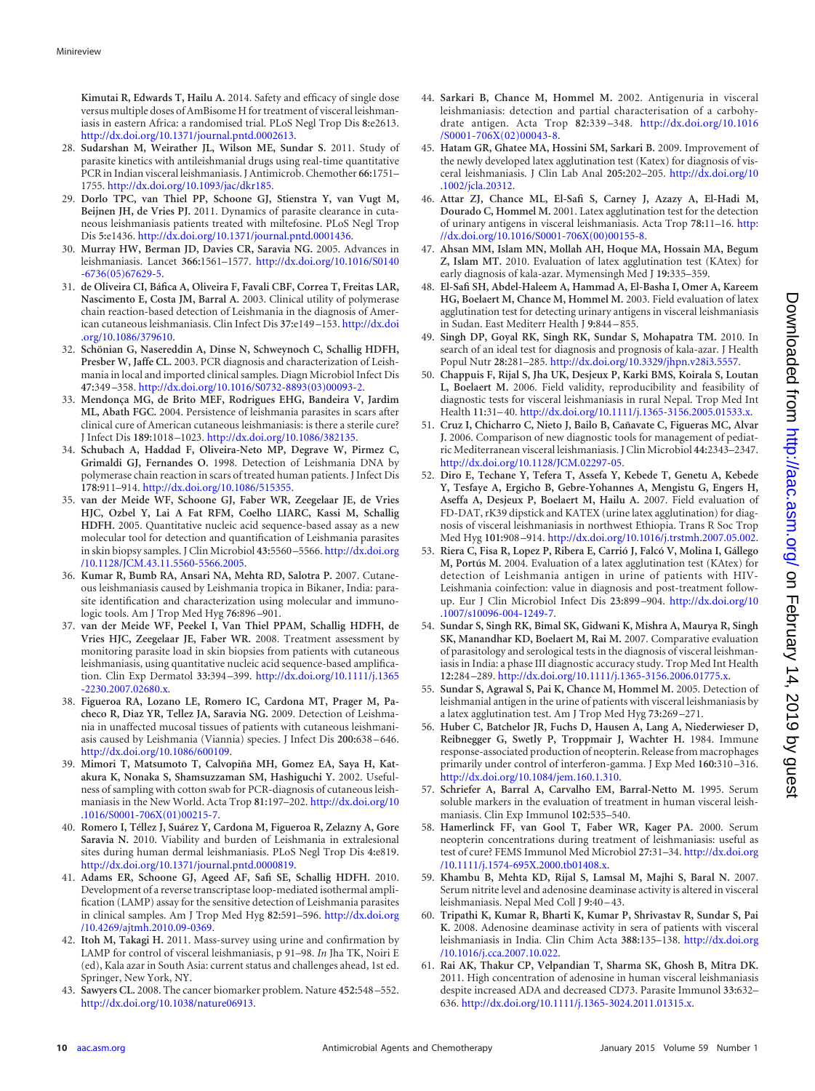**Kimutai R, Edwards T, Hailu A.** 2014. Safety and efficacy of single dose versus multiple doses of AmBisome H for treatment of visceral leishmaniasis in eastern Africa: a randomised trial. PLoS Negl Trop Dis **8:**e2613. [http://dx.doi.org/10.1371/journal.pntd.0002613.](http://dx.doi.org/10.1371/journal.pntd.0002613)

- <span id="page-9-0"></span>28. **Sudarshan M, Weirather JL, Wilson ME, Sundar S.** 2011. Study of parasite kinetics with antileishmanial drugs using real-time quantitative PCR in Indian visceral leishmaniasis. J Antimicrob. Chemother **66:**1751– 1755. [http://dx.doi.org/10.1093/jac/dkr185.](http://dx.doi.org/10.1093/jac/dkr185)
- <span id="page-9-1"></span>29. **Dorlo TPC, van Thiel PP, Schoone GJ, Stienstra Y, van Vugt M, Beijnen JH, de Vries PJ.** 2011. Dynamics of parasite clearance in cutaneous leishmaniasis patients treated with miltefosine. PLoS Negl Trop Dis **5:**e1436. [http://dx.doi.org/10.1371/journal.pntd.0001436.](http://dx.doi.org/10.1371/journal.pntd.0001436)
- <span id="page-9-2"></span>30. **Murray HW, Berman JD, Davies CR, Saravia NG.** 2005. Advances in leishmaniasis. Lancet **366:**1561–1577. [http://dx.doi.org/10.1016/S0140](http://dx.doi.org/10.1016/S0140-6736(05)67629-5) [-6736\(05\)67629-5.](http://dx.doi.org/10.1016/S0140-6736(05)67629-5)
- 31. **de Oliveira CI, Báfica A, Oliveira F, Favali CBF, Correa T, Freitas LAR, Nascimento E, Costa JM, Barral A.** 2003. Clinical utility of polymerase chain reaction-based detection of Leishmania in the diagnosis of American cutaneous leishmaniasis. Clin Infect Dis **37:**e149 –153. [http://dx.doi](http://dx.doi.org/10.1086/379610) [.org/10.1086/379610.](http://dx.doi.org/10.1086/379610)
- 32. **Schönian G, Nasereddin A, Dinse N, Schweynoch C, Schallig HDFH, Presber W, Jaffe CL.** 2003. PCR diagnosis and characterization of Leishmania in local and imported clinical samples. Diagn Microbiol Infect Dis **47:**349 –358. [http://dx.doi.org/10.1016/S0732-8893\(03\)00093-2.](http://dx.doi.org/10.1016/S0732-8893(03)00093-2)
- 33. **Mendonça MG, de Brito MEF, Rodrigues EHG, Bandeira V, Jardim ML, Abath FGC.** 2004. Persistence of leishmania parasites in scars after clinical cure of American cutaneous leishmaniasis: is there a sterile cure? J Infect Dis **189:**1018 –1023. [http://dx.doi.org/10.1086/382135.](http://dx.doi.org/10.1086/382135)
- 34. **Schubach A, Haddad F, Oliveira-Neto MP, Degrave W, Pirmez C, Grimaldi GJ, Fernandes O.** 1998. Detection of Leishmania DNA by polymerase chain reaction in scars of treated human patients. J Infect Dis **178:**911–914. [http://dx.doi.org/10.1086/515355.](http://dx.doi.org/10.1086/515355)
- <span id="page-9-3"></span>35. **van der Meide WF, Schoone GJ, Faber WR, Zeegelaar JE, de Vries HJC, Ozbel Y, Lai A Fat RFM, Coelho LIARC, Kassi M, Schallig HDFH.** 2005. Quantitative nucleic acid sequence-based assay as a new molecular tool for detection and quantification of Leishmania parasites in skin biopsy samples. J Clin Microbiol **43:**5560 –5566. [http://dx.doi.org](http://dx.doi.org/10.1128/JCM.43.11.5560-5566.2005) [/10.1128/JCM.43.11.5560-5566.2005.](http://dx.doi.org/10.1128/JCM.43.11.5560-5566.2005)
- <span id="page-9-4"></span>36. **Kumar R, Bumb RA, Ansari NA, Mehta RD, Salotra P.** 2007. Cutaneous leishmaniasis caused by Leishmania tropica in Bikaner, India: parasite identification and characterization using molecular and immunologic tools. Am J Trop Med Hyg **76:**896 –901.
- <span id="page-9-5"></span>37. **van der Meide WF, Peekel I, Van Thiel PPAM, Schallig HDFH, de Vries HJC, Zeegelaar JE, Faber WR.** 2008. Treatment assessment by monitoring parasite load in skin biopsies from patients with cutaneous leishmaniasis, using quantitative nucleic acid sequence-based amplification. Clin Exp Dermatol **33:**394 –399. [http://dx.doi.org/10.1111/j.1365](http://dx.doi.org/10.1111/j.1365-2230.2007.02680.x) [-2230.2007.02680.x.](http://dx.doi.org/10.1111/j.1365-2230.2007.02680.x)
- <span id="page-9-6"></span>38. **Figueroa RA, Lozano LE, Romero IC, Cardona MT, Prager M, Pacheco R, Diaz YR, Tellez JA, Saravia NG.** 2009. Detection of Leishmania in unaffected mucosal tissues of patients with cutaneous leishmaniasis caused by Leishmania (Viannia) species. J Infect Dis **200:**638 –646. [http://dx.doi.org/10.1086/600109.](http://dx.doi.org/10.1086/600109)
- <span id="page-9-7"></span>39. **Mimori T, Matsumoto T, Calvopiña MH, Gomez EA, Saya H, Katakura K, Nonaka S, Shamsuzzaman SM, Hashiguchi Y.** 2002. Usefulness of sampling with cotton swab for PCR-diagnosis of cutaneous leishmaniasis in the New World. Acta Trop **81:**197–202. [http://dx.doi.org/10](http://dx.doi.org/10.1016/S0001-706X(01)00215-7) [.1016/S0001-706X\(01\)00215-7.](http://dx.doi.org/10.1016/S0001-706X(01)00215-7)
- <span id="page-9-8"></span>40. **Romero I, Téllez J, Suárez Y, Cardona M, Figueroa R, Zelazny A, Gore Saravia N.** 2010. Viability and burden of Leishmania in extralesional sites during human dermal leishmaniasis. PLoS Negl Trop Dis **4:**e819. [http://dx.doi.org/10.1371/journal.pntd.0000819.](http://dx.doi.org/10.1371/journal.pntd.0000819)
- <span id="page-9-9"></span>41. **Adams ER, Schoone GJ, Ageed AF, Safi SE, Schallig HDFH.** 2010. Development of a reverse transcriptase loop-mediated isothermal amplification (LAMP) assay for the sensitive detection of Leishmania parasites in clinical samples. Am J Trop Med Hyg **82:**591–596. [http://dx.doi.org](http://dx.doi.org/10.4269/ajtmh.2010.09-0369) [/10.4269/ajtmh.2010.09-0369.](http://dx.doi.org/10.4269/ajtmh.2010.09-0369)
- <span id="page-9-10"></span>42. **Itoh M, Takagi H.** 2011. Mass-survey using urine and confirmation by LAMP for control of visceral leishmaniasis, p 91–98. *In* Jha TK, Noiri E (ed), Kala azar in South Asia: current status and challenges ahead, 1st ed. Springer, New York, NY.
- <span id="page-9-11"></span>43. **Sawyers CL.** 2008. The cancer biomarker problem. Nature **452:**548 –552. [http://dx.doi.org/10.1038/nature06913.](http://dx.doi.org/10.1038/nature06913)
- <span id="page-9-12"></span>44. **Sarkari B, Chance M, Hommel M.** 2002. Antigenuria in visceral leishmaniasis: detection and partial characterisation of a carbohydrate antigen. Acta Trop **82:**339 –348. [http://dx.doi.org/10.1016](http://dx.doi.org/10.1016/S0001-706X(02)00043-8) [/S0001-706X\(02\)00043-8.](http://dx.doi.org/10.1016/S0001-706X(02)00043-8)
- <span id="page-9-13"></span>45. **Hatam GR, Ghatee MA, Hossini SM, Sarkari B.** 2009. Improvement of the newly developed latex agglutination test (Katex) for diagnosis of visceral leishmaniasis. J Clin Lab Anal **205:**202–205. [http://dx.doi.org/10](http://dx.doi.org/10.1002/jcla.20312) [.1002/jcla.20312.](http://dx.doi.org/10.1002/jcla.20312)
- <span id="page-9-14"></span>46. **Attar ZJ, Chance ML, El-Safi S, Carney J, Azazy A, El-Hadi M, Dourado C, Hommel M.** 2001. Latex agglutination test for the detection of urinary antigens in visceral leishmaniasis. Acta Trop **78:**11–16. [http:](http://dx.doi.org/10.1016/S0001-706X(00)00155-8) [//dx.doi.org/10.1016/S0001-706X\(00\)00155-8.](http://dx.doi.org/10.1016/S0001-706X(00)00155-8)
- <span id="page-9-15"></span>47. **Ahsan MM, Islam MN, Mollah AH, Hoque MA, Hossain MA, Begum Z, Islam MT.** 2010. Evaluation of latex agglutination test (KAtex) for early diagnosis of kala-azar. Mymensingh Med J **19:**335–359.
- <span id="page-9-18"></span>48. **El-Safi SH, Abdel-Haleem A, Hammad A, El-Basha I, Omer A, Kareem HG, Boelaert M, Chance M, Hommel M.** 2003. Field evaluation of latex agglutination test for detecting urinary antigens in visceral leishmaniasis in Sudan. East Mediterr Health J **9:**844 –855.
- <span id="page-9-19"></span>49. **Singh DP, Goyal RK, Singh RK, Sundar S, Mohapatra TM.** 2010. In search of an ideal test for diagnosis and prognosis of kala-azar. J Health Popul Nutr **28:**281–285. [http://dx.doi.org/10.3329/jhpn.v28i3.5557.](http://dx.doi.org/10.3329/jhpn.v28i3.5557)
- 50. **Chappuis F, Rijal S, Jha UK, Desjeux P, Karki BMS, Koirala S, Loutan L, Boelaert M.** 2006. Field validity, reproducibility and feasibility of diagnostic tests for visceral leishmaniasis in rural Nepal. Trop Med Int Health **11:**31–40. [http://dx.doi.org/10.1111/j.1365-3156.2005.01533.x.](http://dx.doi.org/10.1111/j.1365-3156.2005.01533.x)
- 51. **Cruz I, Chicharro C, Nieto J, Bailo B, Cañavate C, Figueras MC, Alvar J.** 2006. Comparison of new diagnostic tools for management of pediatric Mediterranean visceral leishmaniasis. J Clin Microbiol **44:**2343–2347. [http://dx.doi.org/10.1128/JCM.02297-05.](http://dx.doi.org/10.1128/JCM.02297-05)
- 52. **Diro E, Techane Y, Tefera T, Assefa Y, Kebede T, Genetu A, Kebede Y, Tesfaye A, Ergicho B, Gebre-Yohannes A, Mengistu G, Engers H, Aseffa A, Desjeux P, Boelaert M, Hailu A.** 2007. Field evaluation of FD-DAT, rK39 dipstick and KATEX (urine latex agglutination) for diagnosis of visceral leishmaniasis in northwest Ethiopia. Trans R Soc Trop Med Hyg **101:**908 –914. [http://dx.doi.org/10.1016/j.trstmh.2007.05.002.](http://dx.doi.org/10.1016/j.trstmh.2007.05.002)
- 53. **Riera C, Fisa R, Lopez P, Ribera E, Carrió J, Falcó V, Molina I, Gállego M, Portús M.** 2004. Evaluation of a latex agglutination test (KAtex) for detection of Leishmania antigen in urine of patients with HIV-Leishmania coinfection: value in diagnosis and post-treatment followup. Eur J Clin Microbiol Infect Dis **23:**899 –904. [http://dx.doi.org/10](http://dx.doi.org/10.1007/s10096-004-1249-7) [.1007/s10096-004-1249-7.](http://dx.doi.org/10.1007/s10096-004-1249-7)
- <span id="page-9-16"></span>54. **Sundar S, Singh RK, Bimal SK, Gidwani K, Mishra A, Maurya R, Singh SK, Manandhar KD, Boelaert M, Rai M.** 2007. Comparative evaluation of parasitology and serological tests in the diagnosis of visceral leishmaniasis in India: a phase III diagnostic accuracy study. Trop Med Int Health **12:**284 –289. [http://dx.doi.org/10.1111/j.1365-3156.2006.01775.x.](http://dx.doi.org/10.1111/j.1365-3156.2006.01775.x)
- <span id="page-9-20"></span><span id="page-9-17"></span>55. **Sundar S, Agrawal S, Pai K, Chance M, Hommel M.** 2005. Detection of leishmanial antigen in the urine of patients with visceral leishmaniasis by a latex agglutination test. Am J Trop Med Hyg **73:**269 –271.
- 56. **Huber C, Batchelor JR, Fuchs D, Hausen A, Lang A, Niederwieser D, Reibnegger G, Swetly P, Troppmair J, Wachter H.** 1984. Immune response-associated production of neopterin. Release from macrophages primarily under control of interferon-gamma. J Exp Med **160:**310 –316. [http://dx.doi.org/10.1084/jem.160.1.310.](http://dx.doi.org/10.1084/jem.160.1.310)
- <span id="page-9-24"></span><span id="page-9-23"></span>57. **Schriefer A, Barral A, Carvalho EM, Barral-Netto M.** 1995. Serum soluble markers in the evaluation of treatment in human visceral leishmaniasis. Clin Exp Immunol **102:**535–540.
- 58. **Hamerlinck FF, van Gool T, Faber WR, Kager PA.** 2000. Serum neopterin concentrations during treatment of leishmaniasis: useful as test of cure? FEMS Immunol Med Microbiol **27:**31–34. [http://dx.doi.org](http://dx.doi.org/10.1111/j.1574-695X.2000.tb01408.x) [/10.1111/j.1574-695X.2000.tb01408.x.](http://dx.doi.org/10.1111/j.1574-695X.2000.tb01408.x)
- <span id="page-9-25"></span><span id="page-9-21"></span>59. **Khambu B, Mehta KD, Rijal S, Lamsal M, Majhi S, Baral N.** 2007. Serum nitrite level and adenosine deaminase activity is altered in visceral leishmaniasis. Nepal Med Coll J **9:**40 –43.
- 60. **Tripathi K, Kumar R, Bharti K, Kumar P, Shrivastav R, Sundar S, Pai K.** 2008. Adenosine deaminase activity in sera of patients with visceral leishmaniasis in India. Clin Chim Acta **388:**135–138. [http://dx.doi.org](http://dx.doi.org/10.1016/j.cca.2007.10.022) [/10.1016/j.cca.2007.10.022.](http://dx.doi.org/10.1016/j.cca.2007.10.022)
- <span id="page-9-22"></span>61. **Rai AK, Thakur CP, Velpandian T, Sharma SK, Ghosh B, Mitra DK.** 2011. High concentration of adenosine in human visceral leishmaniasis despite increased ADA and decreased CD73. Parasite Immunol **33:**632– 636. [http://dx.doi.org/10.1111/j.1365-3024.2011.01315.x.](http://dx.doi.org/10.1111/j.1365-3024.2011.01315.x)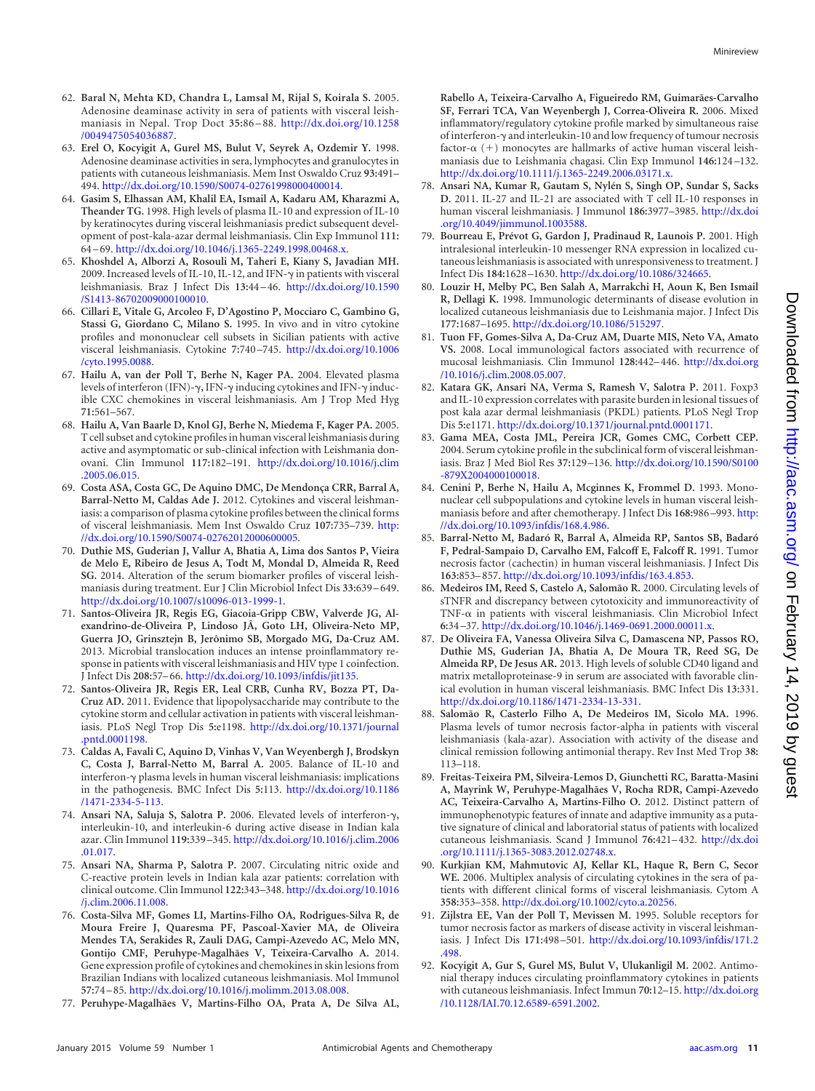- <span id="page-10-0"></span>62. **Baral N, Mehta KD, Chandra L, Lamsal M, Rijal S, Koirala S.** 2005. Adenosine deaminase activity in sera of patients with visceral leishmaniasis in Nepal. Trop Doct **35:**86 –88. [http://dx.doi.org/10.1258](http://dx.doi.org/10.1258/0049475054036887) [/0049475054036887.](http://dx.doi.org/10.1258/0049475054036887)
- <span id="page-10-1"></span>63. **Erel O, Kocyigit A, Gurel MS, Bulut V, Seyrek A, Ozdemir Y.** 1998. Adenosine deaminase activities in sera, lymphocytes and granulocytes in patients with cutaneous leishmaniasis. Mem Inst Oswaldo Cruz **93:**491– 494. [http://dx.doi.org/10.1590/S0074-02761998000400014.](http://dx.doi.org/10.1590/S0074-02761998000400014)
- <span id="page-10-7"></span>64. **Gasim S, Elhassan AM, Khalil EA, Ismail A, Kadaru AM, Kharazmi A, Theander TG.** 1998. High levels of plasma IL-10 and expression of IL-10 by keratinocytes during visceral leishmaniasis predict subsequent development of post-kala-azar dermal leishmaniasis. Clin Exp Immunol **111:** 64 –69. [http://dx.doi.org/10.1046/j.1365-2249.1998.00468.x.](http://dx.doi.org/10.1046/j.1365-2249.1998.00468.x)
- <span id="page-10-16"></span>65. **Khoshdel A, Alborzi A, Rosouli M, Taheri E, Kiany S, Javadian MH.** 2009. Increased levels of IL-10, IL-12, and IFN- $\gamma$  in patients with visceral leishmaniasis. Braz J Infect Dis **13:**44 –46. [http://dx.doi.org/10.1590](http://dx.doi.org/10.1590/S1413-86702009000100010) [/S1413-86702009000100010.](http://dx.doi.org/10.1590/S1413-86702009000100010)
- <span id="page-10-22"></span>66. **Cillari E, Vitale G, Arcoleo F, D'Agostino P, Mocciaro C, Gambino G, Stassi G, Giordano C, Milano S.** 1995. In vivo and in vitro cytokine profiles and mononuclear cell subsets in Sicilian patients with active visceral leishmaniasis. Cytokine **7:**740 –745. [http://dx.doi.org/10.1006](http://dx.doi.org/10.1006/cyto.1995.0088) [/cyto.1995.0088.](http://dx.doi.org/10.1006/cyto.1995.0088)
- <span id="page-10-4"></span>67. **Hailu A, van der Poll T, Berhe N, Kager PA.** 2004. Elevated plasma levels of interferon (IFN)- $\gamma$ , IFN- $\gamma$  inducing cytokines and IFN- $\gamma$  inducible CXC chemokines in visceral leishmaniasis. Am J Trop Med Hyg **71:**561–567.
- <span id="page-10-8"></span>68. **Hailu A, Van Baarle D, Knol GJ, Berhe N, Miedema F, Kager PA.** 2005. T cell subset and cytokine profiles in human visceral leishmaniasis during active and asymptomatic or sub-clinical infection with Leishmania donovani. Clin Immunol **117:**182–191. [http://dx.doi.org/10.1016/j.clim](http://dx.doi.org/10.1016/j.clim.2005.06.015) [.2005.06.015.](http://dx.doi.org/10.1016/j.clim.2005.06.015)
- <span id="page-10-9"></span>69. **Costa ASA, Costa GC, De Aquino DMC, De Mendonça CRR, Barral A, Barral-Netto M, Caldas Ade J.** 2012. Cytokines and visceral leishmaniasis: a comparison of plasma cytokine profiles between the clinical forms of visceral leishmaniasis. Mem Inst Oswaldo Cruz **107:**735–739. [http:](http://dx.doi.org/10.1590/S0074-02762012000600005) [//dx.doi.org/10.1590/S0074-02762012000600005.](http://dx.doi.org/10.1590/S0074-02762012000600005)
- <span id="page-10-5"></span>70. **Duthie MS, Guderian J, Vallur A, Bhatia A, Lima dos Santos P, Vieira de Melo E, Ribeiro de Jesus A, Todt M, Mondal D, Almeida R, Reed SG.** 2014. Alteration of the serum biomarker profiles of visceral leishmaniasis during treatment. Eur J Clin Microbiol Infect Dis **33:**639 –649. [http://dx.doi.org/10.1007/s10096-013-1999-1.](http://dx.doi.org/10.1007/s10096-013-1999-1)
- <span id="page-10-2"></span>71. **Santos-Oliveira JR, Regis EG, Giacoia-Gripp CBW, Valverde JG, Alexandrino-de-Oliveira P, Lindoso JÂ, Goto LH, Oliveira-Neto MP, Guerra JO, Grinsztejn B, Jerônimo SB, Morgado MG, Da-Cruz AM.** 2013. Microbial translocation induces an intense proinflammatory response in patients with visceral leishmaniasis and HIV type 1 coinfection. J Infect Dis **208:**57–66. [http://dx.doi.org/10.1093/infdis/jit135.](http://dx.doi.org/10.1093/infdis/jit135)
- <span id="page-10-3"></span>72. **Santos-Oliveira JR, Regis ER, Leal CRB, Cunha RV, Bozza PT, Da-Cruz AD.** 2011. Evidence that lipopolysaccharide may contribute to the cytokine storm and cellular activation in patients with visceral leishmaniasis. PLoS Negl Trop Dis **5:**e1198. [http://dx.doi.org/10.1371/journal](http://dx.doi.org/10.1371/journal.pntd.0001198) [.pntd.0001198.](http://dx.doi.org/10.1371/journal.pntd.0001198)
- <span id="page-10-10"></span>73. **Caldas A, Favali C, Aquino D, Vinhas V, Van Weyenbergh J, Brodskyn C, Costa J, Barral-Netto M, Barral A.** 2005. Balance of IL-10 and interferon- $\gamma$  plasma levels in human visceral leishmaniasis: implications in the pathogenesis. BMC Infect Dis **5:**113. [http://dx.doi.org/10.1186](http://dx.doi.org/10.1186/1471-2334-5-113) [/1471-2334-5-113.](http://dx.doi.org/10.1186/1471-2334-5-113)
- <span id="page-10-11"></span>74. Ansari NA, Saluja S, Salotra P. 2006. Elevated levels of interferon- $\gamma$ , interleukin-10, and interleukin-6 during active disease in Indian kala azar. Clin Immunol **119:**339 –345. [http://dx.doi.org/10.1016/j.clim.2006](http://dx.doi.org/10.1016/j.clim.2006.01.017) [.01.017.](http://dx.doi.org/10.1016/j.clim.2006.01.017)
- <span id="page-10-24"></span>75. **Ansari NA, Sharma P, Salotra P.** 2007. Circulating nitric oxide and C-reactive protein levels in Indian kala azar patients: correlation with clinical outcome. Clin Immunol **122:**343–348. [http://dx.doi.org/10.1016](http://dx.doi.org/10.1016/j.clim.2006.11.008) [/j.clim.2006.11.008.](http://dx.doi.org/10.1016/j.clim.2006.11.008)
- <span id="page-10-19"></span>76. **Costa-Silva MF, Gomes LI, Martins-Filho OA, Rodrigues-Silva R, de Moura Freire J, Quaresma PF, Pascoal-Xavier MA, de Oliveira Mendes TA, Serakides R, Zauli DAG, Campi-Azevedo AC, Melo MN, Gontijo CMF, Peruhype-Magalhães V, Teixeira-Carvalho A.** 2014. Gene expression profile of cytokines and chemokines in skin lesions from Brazilian Indians with localized cutaneous leishmaniasis. Mol Immunol **57:**74 –85. [http://dx.doi.org/10.1016/j.molimm.2013.08.008.](http://dx.doi.org/10.1016/j.molimm.2013.08.008)
- <span id="page-10-12"></span>77. **Peruhype-Magalhães V, Martins-Filho OA, Prata A, De Silva AL,**

**Rabello A, Teixeira-Carvalho A, Figueiredo RM, Guimarães-Carvalho SF, Ferrari TCA, Van Weyenbergh J, Correa-Oliveira R.** 2006. Mixed inflammatory/regulatory cytokine profile marked by simultaneous raise of interferon- $\gamma$  and interleukin-10 and low frequency of tumour necrosis factor- $\alpha$  (+) monocytes are hallmarks of active human visceral leishmaniasis due to Leishmania chagasi. Clin Exp Immunol **146:**124 –132. [http://dx.doi.org/10.1111/j.1365-2249.2006.03171.x.](http://dx.doi.org/10.1111/j.1365-2249.2006.03171.x)

- <span id="page-10-21"></span>78. **Ansari NA, Kumar R, Gautam S, Nylén S, Singh OP, Sundar S, Sacks D.** 2011. IL-27 and IL-21 are associated with T cell IL-10 responses in human visceral leishmaniasis. J Immunol **186:**3977–3985. [http://dx.doi](http://dx.doi.org/10.4049/jimmunol.1003588) [.org/10.4049/jimmunol.1003588.](http://dx.doi.org/10.4049/jimmunol.1003588)
- <span id="page-10-14"></span>79. **Bourreau E, Prévot G, Gardon J, Pradinaud R, Launois P.** 2001. High intralesional interleukin-10 messenger RNA expression in localized cutaneous leishmaniasis is associated with unresponsiveness to treatment. J Infect Dis **184:**1628 –1630. [http://dx.doi.org/10.1086/324665.](http://dx.doi.org/10.1086/324665)
- <span id="page-10-20"></span>80. **Louzir H, Melby PC, Ben Salah A, Marrakchi H, Aoun K, Ben Ismail R, Dellagi K.** 1998. Immunologic determinants of disease evolution in localized cutaneous leishmaniasis due to Leishmania major. J Infect Dis **177:**1687–1695. [http://dx.doi.org/10.1086/515297.](http://dx.doi.org/10.1086/515297)
- <span id="page-10-15"></span>81. **Tuon FF, Gomes-Silva A, Da-Cruz AM, Duarte MIS, Neto VA, Amato VS.** 2008. Local immunological factors associated with recurrence of mucosal leishmaniasis. Clin Immunol **128:**442–446. [http://dx.doi.org](http://dx.doi.org/10.1016/j.clim.2008.05.007) [/10.1016/j.clim.2008.05.007.](http://dx.doi.org/10.1016/j.clim.2008.05.007)
- <span id="page-10-13"></span>82. **Katara GK, Ansari NA, Verma S, Ramesh V, Salotra P.** 2011. Foxp3 and IL-10 expression correlates with parasite burden in lesional tissues of post kala azar dermal leishmaniasis (PKDL) patients. PLoS Negl Trop Dis **5:**e1171. [http://dx.doi.org/10.1371/journal.pntd.0001171.](http://dx.doi.org/10.1371/journal.pntd.0001171)
- <span id="page-10-17"></span>83. **Gama MEA, Costa JML, Pereira JCR, Gomes CMC, Corbett CEP.** 2004. Serum cytokine profile in the subclinical form of visceral leishmaniasis. Braz J Med Biol Res **37:**129 –136. [http://dx.doi.org/10.1590/S0100](http://dx.doi.org/10.1590/S0100-879X2004000100018) [-879X2004000100018.](http://dx.doi.org/10.1590/S0100-879X2004000100018)
- <span id="page-10-23"></span>84. **Cenini P, Berhe N, Hailu A, Mcginnes K, Frommel D.** 1993. Mononuclear cell subpopulations and cytokine levels in human visceral leishmaniasis before and after chemotherapy. J Infect Dis **168:**986 –993. [http:](http://dx.doi.org/10.1093/infdis/168.4.986) [//dx.doi.org/10.1093/infdis/168.4.986.](http://dx.doi.org/10.1093/infdis/168.4.986)
- <span id="page-10-26"></span>85. **Barral-Netto M, Badaró R, Barral A, Almeida RP, Santos SB, Badaró F, Pedral-Sampaio D, Carvalho EM, Falcoff E, Falcoff R.** 1991. Tumor necrosis factor (cachectin) in human visceral leishmaniasis. J Infect Dis **163:**853–857. [http://dx.doi.org/10.1093/infdis/163.4.853.](http://dx.doi.org/10.1093/infdis/163.4.853)
- <span id="page-10-27"></span>86. **Medeiros IM, Reed S, Castelo A, Salomão R.** 2000. Circulating levels of sTNFR and discrepancy between cytotoxicity and immunoreactivity of TNF- $\alpha$  in patients with visceral leishmaniasis. Clin Microbiol Infect **6:**34 –37. [http://dx.doi.org/10.1046/j.1469-0691.2000.00011.x.](http://dx.doi.org/10.1046/j.1469-0691.2000.00011.x)
- <span id="page-10-6"></span>87. **De Oliveira FA, Vanessa Oliveira Silva C, Damascena NP, Passos RO, Duthie MS, Guderian JA, Bhatia A, De Moura TR, Reed SG, De Almeida RP, De Jesus AR.** 2013. High levels of soluble CD40 ligand and matrix metalloproteinase-9 in serum are associated with favorable clinical evolution in human visceral leishmaniasis. BMC Infect Dis **13:**331. [http://dx.doi.org/10.1186/1471-2334-13-331.](http://dx.doi.org/10.1186/1471-2334-13-331)
- <span id="page-10-28"></span>88. **Salomão R, Casterlo Filho A, De Medeiros IM, Sicolo MA.** 1996. Plasma levels of tumor necrosis factor-alpha in patients with visceral leishmaniasis (kala-azar). Association with activity of the disease and clinical remission following antimonial therapy. Rev Inst Med Trop **38:** 113–118.
- <span id="page-10-30"></span>89. **Freitas-Teixeira PM, Silveira-Lemos D, Giunchetti RC, Baratta-Masini A, Mayrink W, Peruhype-Magalhães V, Rocha RDR, Campi-Azevedo AC, Teixeira-Carvalho A, Martins-Filho O.** 2012. Distinct pattern of immunophenotypic features of innate and adaptive immunity as a putative signature of clinical and laboratorial status of patients with localized cutaneous leishmaniasis. Scand J Immunol **76:**421–432. [http://dx.doi](http://dx.doi.org/10.1111/j.1365-3083.2012.02748.x) [.org/10.1111/j.1365-3083.2012.02748.x.](http://dx.doi.org/10.1111/j.1365-3083.2012.02748.x)
- <span id="page-10-18"></span>90. **Kurkjian KM, Mahmutovic AJ, Kellar KL, Haque R, Bern C, Secor WE.** 2006. Multiplex analysis of circulating cytokines in the sera of patients with different clinical forms of visceral leishmaniasis. Cytom A **358:**353–358. [http://dx.doi.org/10.1002/cyto.a.20256.](http://dx.doi.org/10.1002/cyto.a.20256)
- <span id="page-10-29"></span>91. **Zijlstra EE, Van der Poll T, Mevissen M.** 1995. Soluble receptors for tumor necrosis factor as markers of disease activity in visceral leishmaniasis. J Infect Dis **171:**498 –501. [http://dx.doi.org/10.1093/infdis/171.2](http://dx.doi.org/10.1093/infdis/171.2.498) [.498.](http://dx.doi.org/10.1093/infdis/171.2.498)
- <span id="page-10-25"></span>92. **Kocyigit A, Gur S, Gurel MS, Bulut V, Ulukanligil M.** 2002. Antimonial therapy induces circulating proinflammatory cytokines in patients with cutaneous leishmaniasis. Infect Immun **70:**12–15. [http://dx.doi.org](http://dx.doi.org/10.1128/IAI.70.12.6589-6591.2002) [/10.1128/IAI.70.12.6589-6591.2002.](http://dx.doi.org/10.1128/IAI.70.12.6589-6591.2002)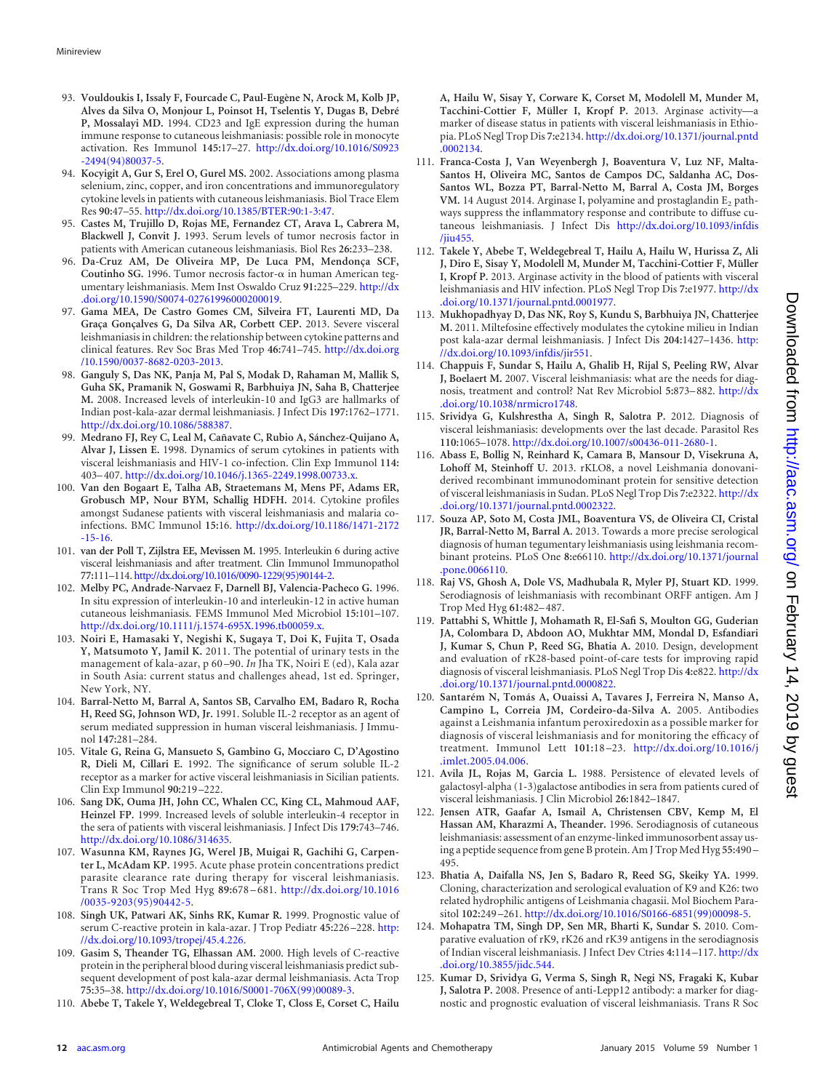- <span id="page-11-7"></span>93. **Vouldoukis I, Issaly F, Fourcade C, Paul-Eugène N, Arock M, Kolb JP, Alves da Silva O, Monjour L, Poinsot H, Tselentis Y, Dugas B, Debré P, Mossalayi MD.** 1994. CD23 and IgE expression during the human immune response to cutaneous leishmaniasis: possible role in monocyte activation. Res Immunol **145:**17–27. [http://dx.doi.org/10.1016/S0923](http://dx.doi.org/10.1016/S0923-2494(94)80037-5) [-2494\(94\)80037-5.](http://dx.doi.org/10.1016/S0923-2494(94)80037-5)
- <span id="page-11-8"></span>94. **Kocyigit A, Gur S, Erel O, Gurel MS.** 2002. Associations among plasma selenium, zinc, copper, and iron concentrations and immunoregulatory cytokine levels in patients with cutaneous leishmaniasis. Biol Trace Elem Res **90:**47–55. [http://dx.doi.org/10.1385/BTER:90:1-3:47.](http://dx.doi.org/10.1385/BTER:90:1-3:47)
- <span id="page-11-19"></span>95. **Castes M, Trujillo D, Rojas ME, Fernandez CT, Arava L, Cabrera M, Blackwell J, Convit J.** 1993. Serum levels of tumor necrosis factor in patients with American cutaneous leishmaniasis. Biol Res **26:**233–238.
- <span id="page-11-9"></span>96. **Da-Cruz AM, De Oliveira MP, De Luca PM, Mendonça SCF,** Coutinho SG. 1996. Tumor necrosis factor- $\alpha$  in human American tegumentary leishmaniasis. Mem Inst Oswaldo Cruz **91:**225–229. [http://dx](http://dx.doi.org/10.1590/S0074-02761996000200019) [.doi.org/10.1590/S0074-02761996000200019.](http://dx.doi.org/10.1590/S0074-02761996000200019)
- <span id="page-11-5"></span>97. **Gama MEA, De Castro Gomes CM, Silveira FT, Laurenti MD, Da Graça Gonçalves G, Da Silva AR, Corbett CEP.** 2013. Severe visceral leishmaniasis in children: the relationship between cytokine patterns and clinical features. Rev Soc Bras Med Trop **46:**741–745. [http://dx.doi.org](http://dx.doi.org/10.1590/0037-8682-0203-2013) [/10.1590/0037-8682-0203-2013.](http://dx.doi.org/10.1590/0037-8682-0203-2013)
- <span id="page-11-0"></span>98. **Ganguly S, Das NK, Panja M, Pal S, Modak D, Rahaman M, Mallik S, Guha SK, Pramanik N, Goswami R, Barbhuiya JN, Saha B, Chatterjee M.** 2008. Increased levels of interleukin-10 and IgG3 are hallmarks of Indian post-kala-azar dermal leishmaniasis. J Infect Dis **197:**1762–1771. [http://dx.doi.org/10.1086/588387.](http://dx.doi.org/10.1086/588387)
- <span id="page-11-6"></span>99. **Medrano FJ, Rey C, Leal M, Cañavate C, Rubio A, Sánchez-Quijano A, Alvar J, Lissen E.** 1998. Dynamics of serum cytokines in patients with visceral leishmaniasis and HIV-1 co-infection. Clin Exp Immunol **114:** 403–407. [http://dx.doi.org/10.1046/j.1365-2249.1998.00733.x.](http://dx.doi.org/10.1046/j.1365-2249.1998.00733.x)
- <span id="page-11-2"></span>100. **Van den Bogaart E, Talha AB, Straetemans M, Mens PF, Adams ER, Grobusch MP, Nour BYM, Schallig HDFH.** 2014. Cytokine profiles amongst Sudanese patients with visceral leishmaniasis and malaria coinfections. BMC Immunol **15:**16. [http://dx.doi.org/10.1186/1471-2172](http://dx.doi.org/10.1186/1471-2172-15-16) [-15-16.](http://dx.doi.org/10.1186/1471-2172-15-16)
- <span id="page-11-4"></span>101. **van der Poll T, Zijlstra EE, Mevissen M.** 1995. Interleukin 6 during active visceral leishmaniasis and after treatment. Clin Immunol Immunopathol **77:**111–114. [http://dx.doi.org/10.1016/0090-1229\(95\)90144-2.](http://dx.doi.org/10.1016/0090-1229(95)90144-2)
- <span id="page-11-1"></span>102. **Melby PC, Andrade-Narvaez F, Darnell BJ, Valencia-Pacheco G.** 1996. In situ expression of interleukin-10 and interleukin-12 in active human cutaneous leishmaniasis. FEMS Immunol Med Microbiol **15:**101–107. [http://dx.doi.org/10.1111/j.1574-695X.1996.tb00059.x.](http://dx.doi.org/10.1111/j.1574-695X.1996.tb00059.x)
- <span id="page-11-3"></span>103. **Noiri E, Hamasaki Y, Negishi K, Sugaya T, Doi K, Fujita T, Osada Y, Matsumoto Y, Jamil K.** 2011. The potential of urinary tests in the management of kala-azar, p 60 –90. *In* Jha TK, Noiri E (ed), Kala azar in South Asia: current status and challenges ahead, 1st ed. Springer, New York, NY.
- <span id="page-11-10"></span>104. **Barral-Netto M, Barral A, Santos SB, Carvalho EM, Badaro R, Rocha H, Reed SG, Johnson WD, Jr.** 1991. Soluble IL-2 receptor as an agent of serum mediated suppression in human visceral leishmaniasis. J Immunol **147:**281–284.
- <span id="page-11-11"></span>105. **Vitale G, Reina G, Mansueto S, Gambino G, Mocciaro C, D'Agostino R, Dieli M, Cillari E.** 1992. The significance of serum soluble IL-2 receptor as a marker for active visceral leishmaniasis in Sicilian patients. Clin Exp Immunol **90:**219 –222.
- <span id="page-11-12"></span>106. **Sang DK, Ouma JH, John CC, Whalen CC, King CL, Mahmoud AAF, Heinzel FP.** 1999. Increased levels of soluble interleukin-4 receptor in the sera of patients with visceral leishmaniasis. J Infect Dis **179:**743–746. [http://dx.doi.org/10.1086/314635.](http://dx.doi.org/10.1086/314635)
- <span id="page-11-13"></span>107. **Wasunna KM, Raynes JG, Werel JB, Muigai R, Gachihi G, Carpenter L, McAdam KP.** 1995. Acute phase protein concentrations predict parasite clearance rate during therapy for visceral leishmaniasis. Trans R Soc Trop Med Hyg **89:**678 –681. [http://dx.doi.org/10.1016](http://dx.doi.org/10.1016/0035-9203(95)90442-5) [/0035-9203\(95\)90442-5.](http://dx.doi.org/10.1016/0035-9203(95)90442-5)
- <span id="page-11-15"></span><span id="page-11-14"></span>108. **Singh UK, Patwari AK, Sinhs RK, Kumar R.** 1999. Prognostic value of serum C-reactive protein in kala-azar. J Trop Pediatr **45:**226 –228. [http:](http://dx.doi.org/10.1093/tropej/45.4.226) [//dx.doi.org/10.1093/tropej/45.4.226.](http://dx.doi.org/10.1093/tropej/45.4.226)
- 109. **Gasim S, Theander TG, Elhassan AM.** 2000. High levels of C-reactive protein in the peripheral blood during visceral leishmaniasis predict subsequent development of post kala-azar dermal leishmaniasis. Acta Trop **75:**35–38. [http://dx.doi.org/10.1016/S0001-706X\(99\)00089-3.](http://dx.doi.org/10.1016/S0001-706X(99)00089-3)
- <span id="page-11-16"></span>110. **Abebe T, Takele Y, Weldegebreal T, Cloke T, Closs E, Corset C, Hailu**

**A, Hailu W, Sisay Y, Corware K, Corset M, Modolell M, Munder M, Tacchini-Cottier F, Müller I, Kropf P.** 2013. Arginase activity—a marker of disease status in patients with visceral leishmaniasis in Ethiopia. PLoS Negl Trop Dis **7:**e2134. [http://dx.doi.org/10.1371/journal.pntd](http://dx.doi.org/10.1371/journal.pntd.0002134) [.0002134.](http://dx.doi.org/10.1371/journal.pntd.0002134)

- <span id="page-11-20"></span>111. **Franca-Costa J, Van Weyenbergh J, Boaventura V, Luz NF, Malta-Santos H, Oliveira MC, Santos de Campos DC, Saldanha AC, Dos-Santos WL, Bozza PT, Barral-Netto M, Barral A, Costa JM, Borges VM.** 14 August 2014. Arginase I, polyamine and prostaglandin E<sub>2</sub> pathways suppress the inflammatory response and contribute to diffuse cutaneous leishmaniasis. J Infect Dis [http://dx.doi.org/10.1093/infdis](http://dx.doi.org/10.1093/infdis/jiu455) [/jiu455.](http://dx.doi.org/10.1093/infdis/jiu455)
- <span id="page-11-17"></span>112. **Takele Y, Abebe T, Weldegebreal T, Hailu A, Hailu W, Hurissa Z, Ali J, Diro E, Sisay Y, Modolell M, Munder M, Tacchini-Cottier F, Müller I, Kropf P.** 2013. Arginase activity in the blood of patients with visceral leishmaniasis and HIV infection. PLoS Negl Trop Dis **7:**e1977. [http://dx](http://dx.doi.org/10.1371/journal.pntd.0001977) [.doi.org/10.1371/journal.pntd.0001977.](http://dx.doi.org/10.1371/journal.pntd.0001977)
- <span id="page-11-18"></span>113. **Mukhopadhyay D, Das NK, Roy S, Kundu S, Barbhuiya JN, Chatterjee M.** 2011. Miltefosine effectively modulates the cytokine milieu in Indian post kala-azar dermal leishmaniasis. J Infect Dis **204:**1427–1436. [http:](http://dx.doi.org/10.1093/infdis/jir551) [//dx.doi.org/10.1093/infdis/jir551.](http://dx.doi.org/10.1093/infdis/jir551)
- <span id="page-11-21"></span>114. **Chappuis F, Sundar S, Hailu A, Ghalib H, Rijal S, Peeling RW, Alvar J, Boelaert M.** 2007. Visceral leishmaniasis: what are the needs for diagnosis, treatment and control? Nat Rev Microbiol **5:**873–882. [http://dx](http://dx.doi.org/10.1038/nrmicro1748) [.doi.org/10.1038/nrmicro1748.](http://dx.doi.org/10.1038/nrmicro1748)
- <span id="page-11-22"></span>115. **Srividya G, Kulshrestha A, Singh R, Salotra P.** 2012. Diagnosis of visceral leishmaniasis: developments over the last decade. Parasitol Res **110:**1065–1078. [http://dx.doi.org/10.1007/s00436-011-2680-1.](http://dx.doi.org/10.1007/s00436-011-2680-1)
- <span id="page-11-23"></span>116. **Abass E, Bollig N, Reinhard K, Camara B, Mansour D, Visekruna A, Lohoff M, Steinhoff U.** 2013. rKLO8, a novel Leishmania donovaniderived recombinant immunodominant protein for sensitive detection of visceral leishmaniasis in Sudan. PLoS Negl Trop Dis **7:**e2322. [http://dx](http://dx.doi.org/10.1371/journal.pntd.0002322) [.doi.org/10.1371/journal.pntd.0002322.](http://dx.doi.org/10.1371/journal.pntd.0002322)
- 117. **Souza AP, Soto M, Costa JML, Boaventura VS, de Oliveira CI, Cristal JR, Barral-Netto M, Barral A.** 2013. Towards a more precise serological diagnosis of human tegumentary leishmaniasis using leishmania recombinant proteins. PLoS One **8:**e66110. [http://dx.doi.org/10.1371/journal](http://dx.doi.org/10.1371/journal.pone.0066110) [.pone.0066110.](http://dx.doi.org/10.1371/journal.pone.0066110)
- 118. **Raj VS, Ghosh A, Dole VS, Madhubala R, Myler PJ, Stuart KD.** 1999. Serodiagnosis of leishmaniasis with recombinant ORFF antigen. Am J Trop Med Hyg **61:**482–487.
- 119. **Pattabhi S, Whittle J, Mohamath R, El-Safi S, Moulton GG, Guderian JA, Colombara D, Abdoon AO, Mukhtar MM, Mondal D, Esfandiari J, Kumar S, Chun P, Reed SG, Bhatia A.** 2010. Design, development and evaluation of rK28-based point-of-care tests for improving rapid diagnosis of visceral leishmaniasis. PLoS Negl Trop Dis **4:**e822. [http://dx](http://dx.doi.org/10.1371/journal.pntd.0000822) [.doi.org/10.1371/journal.pntd.0000822.](http://dx.doi.org/10.1371/journal.pntd.0000822)
- <span id="page-11-24"></span>120. **Santarém N, Tomás A, Ouaissi A, Tavares J, Ferreira N, Manso A, Campino L, Correia JM, Cordeiro-da-Silva A.** 2005. Antibodies against a Leishmania infantum peroxiredoxin as a possible marker for diagnosis of visceral leishmaniasis and for monitoring the efficacy of treatment. Immunol Lett **101:**18 –23. [http://dx.doi.org/10.1016/j](http://dx.doi.org/10.1016/j.imlet.2005.04.006) [.imlet.2005.04.006.](http://dx.doi.org/10.1016/j.imlet.2005.04.006)
- <span id="page-11-25"></span>121. **Avila JL, Rojas M, Garcia L.** 1988. Persistence of elevated levels of galactosyl-alpha (1-3)galactose antibodies in sera from patients cured of visceral leishmaniasis. J Clin Microbiol **26:**1842–1847.
- 122. **Jensen ATR, Gaafar A, Ismail A, Christensen CBV, Kemp M, El Hassan AM, Kharazmi A, Theander.** 1996. Serodiagnosis of cutaneous leishmaniasis: assessment of an enzyme-linked immunosorbent assay using a peptide sequence from gene B protein. Am J Trop Med Hyg **55:**490 – 495.
- 123. **Bhatia A, Daifalla NS, Jen S, Badaro R, Reed SG, Skeiky YA.** 1999. Cloning, characterization and serological evaluation of K9 and K26: two related hydrophilic antigens of Leishmania chagasii. Mol Biochem Parasitol **102:**249 –261. [http://dx.doi.org/10.1016/S0166-6851\(99\)00098-5.](http://dx.doi.org/10.1016/S0166-6851(99)00098-5)
- 124. **Mohapatra TM, Singh DP, Sen MR, Bharti K, Sundar S.** 2010. Comparative evaluation of rK9, rK26 and rK39 antigens in the serodiagnosis of Indian visceral leishmaniasis. J Infect Dev Ctries **4:**114 –117. [http://dx](http://dx.doi.org/10.3855/jidc.544) [.doi.org/10.3855/jidc.544.](http://dx.doi.org/10.3855/jidc.544)
- <span id="page-11-26"></span>125. **Kumar D, Srividya G, Verma S, Singh R, Negi NS, Fragaki K, Kubar J, Salotra P.** 2008. Presence of anti-Lepp12 antibody: a marker for diagnostic and prognostic evaluation of visceral leishmaniasis. Trans R Soc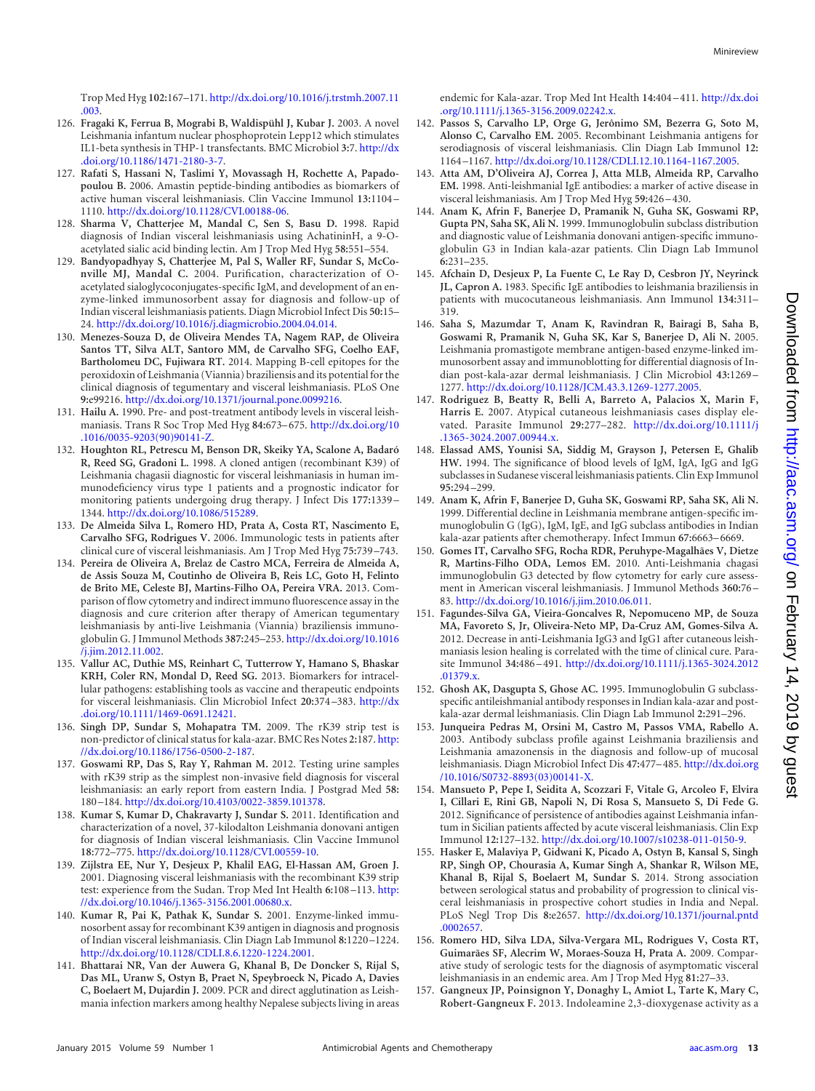Trop Med Hyg **102:**167–171. [http://dx.doi.org/10.1016/j.trstmh.2007.11](http://dx.doi.org/10.1016/j.trstmh.2007.11.003) [.003.](http://dx.doi.org/10.1016/j.trstmh.2007.11.003)

- 126. **Fragaki K, Ferrua B, Mograbi B, Waldispühl J, Kubar J.** 2003. A novel Leishmania infantum nuclear phosphoprotein Lepp12 which stimulates IL1-beta synthesis in THP-1 transfectants. BMC Microbiol **3:**7. [http://dx](http://dx.doi.org/10.1186/1471-2180-3-7) [.doi.org/10.1186/1471-2180-3-7.](http://dx.doi.org/10.1186/1471-2180-3-7)
- 127. **Rafati S, Hassani N, Taslimi Y, Movassagh H, Rochette A, Papadopoulou B.** 2006. Amastin peptide-binding antibodies as biomarkers of active human visceral leishmaniasis. Clin Vaccine Immunol **13:**1104 – 1110. [http://dx.doi.org/10.1128/CVI.00188-06.](http://dx.doi.org/10.1128/CVI.00188-06)
- 128. **Sharma V, Chatterjee M, Mandal C, Sen S, Basu D.** 1998. Rapid diagnosis of Indian visceral leishmaniasis using AchatininH, a 9-Oacetylated sialic acid binding lectin. Am J Trop Med Hyg **58:**551–554.
- <span id="page-12-1"></span>129. **Bandyopadhyay S, Chatterjee M, Pal S, Waller RF, Sundar S, McConville MJ, Mandal C.** 2004. Purification, characterization of Oacetylated sialoglycoconjugates-specific IgM, and development of an enzyme-linked immunosorbent assay for diagnosis and follow-up of Indian visceral leishmaniasis patients. Diagn Microbiol Infect Dis **50:**15– 24. [http://dx.doi.org/10.1016/j.diagmicrobio.2004.04.014.](http://dx.doi.org/10.1016/j.diagmicrobio.2004.04.014)
- <span id="page-12-2"></span>130. **Menezes-Souza D, de Oliveira Mendes TA, Nagem RAP, de Oliveira Santos TT, Silva ALT, Santoro MM, de Carvalho SFG, Coelho EAF, Bartholomeu DC, Fujiwara RT.** 2014. Mapping B-cell epitopes for the peroxidoxin of Leishmania (Viannia) braziliensis and its potential for the clinical diagnosis of tegumentary and visceral leishmaniasis. PLoS One **9:**e99216. [http://dx.doi.org/10.1371/journal.pone.0099216.](http://dx.doi.org/10.1371/journal.pone.0099216)
- <span id="page-12-3"></span>131. **Hailu A.** 1990. Pre- and post-treatment antibody levels in visceral leishmaniasis. Trans R Soc Trop Med Hyg **84:**673–675. [http://dx.doi.org/10](http://dx.doi.org/10.1016/0035-9203(90)90141-Z) [.1016/0035-9203\(90\)90141-Z.](http://dx.doi.org/10.1016/0035-9203(90)90141-Z)
- 132. **Houghton RL, Petrescu M, Benson DR, Skeiky YA, Scalone A, Badaró R, Reed SG, Gradoni L.** 1998. A cloned antigen (recombinant K39) of Leishmania chagasii diagnostic for visceral leishmaniasis in human immunodeficiency virus type 1 patients and a prognostic indicator for monitoring patients undergoing drug therapy. J Infect Dis **177:**1339 – 1344. [http://dx.doi.org/10.1086/515289.](http://dx.doi.org/10.1086/515289)
- 133. **De Almeida Silva L, Romero HD, Prata A, Costa RT, Nascimento E, Carvalho SFG, Rodrigues V.** 2006. Immunologic tests in patients after clinical cure of visceral leishmaniasis. Am J Trop Med Hyg **75:**739 –743.
- 134. **Pereira de Oliveira A, Brelaz de Castro MCA, Ferreira de Almeida A, de Assis Souza M, Coutinho de Oliveira B, Reis LC, Goto H, Felinto de Brito ME, Celeste BJ, Martins-Filho OA, Pereira VRA.** 2013. Comparison of flow cytometry and indirect immuno fluorescence assay in the diagnosis and cure criterion after therapy of American tegumentary leishmaniasis by anti-live Leishmania (Viannia) braziliensis immunoglobulin G. J Immunol Methods **387:**245–253. [http://dx.doi.org/10.1016](http://dx.doi.org/10.1016/j.jim.2012.11.002) [/j.jim.2012.11.002.](http://dx.doi.org/10.1016/j.jim.2012.11.002)
- <span id="page-12-17"></span>135. **Vallur AC, Duthie MS, Reinhart C, Tutterrow Y, Hamano S, Bhaskar KRH, Coler RN, Mondal D, Reed SG.** 2013. Biomarkers for intracellular pathogens: establishing tools as vaccine and therapeutic endpoints for visceral leishmaniasis. Clin Microbiol Infect **20:**374 –383. [http://dx](http://dx.doi.org/10.1111/1469-0691.12421) [.doi.org/10.1111/1469-0691.12421.](http://dx.doi.org/10.1111/1469-0691.12421)
- 136. **Singh DP, Sundar S, Mohapatra TM.** 2009. The rK39 strip test is non-predictor of clinical status for kala-azar. BMC Res Notes **2:**187. [http:](http://dx.doi.org/10.1186/1756-0500-2-187) [//dx.doi.org/10.1186/1756-0500-2-187.](http://dx.doi.org/10.1186/1756-0500-2-187)
- 137. **Goswami RP, Das S, Ray Y, Rahman M.** 2012. Testing urine samples with rK39 strip as the simplest non-invasive field diagnosis for visceral leishmaniasis: an early report from eastern India. J Postgrad Med **58:** 180 –184. [http://dx.doi.org/10.4103/0022-3859.101378.](http://dx.doi.org/10.4103/0022-3859.101378)
- 138. **Kumar S, Kumar D, Chakravarty J, Sundar S.** 2011. Identification and characterization of a novel, 37-kilodalton Leishmania donovani antigen for diagnosis of Indian visceral leishmaniasis. Clin Vaccine Immunol **18:**772–775. [http://dx.doi.org/10.1128/CVI.00559-10.](http://dx.doi.org/10.1128/CVI.00559-10)
- 139. **Zijlstra EE, Nur Y, Desjeux P, Khalil EAG, El-Hassan AM, Groen J.** 2001. Diagnosing visceral leishmaniasis with the recombinant K39 strip test: experience from the Sudan. Trop Med Int Health **6:**108 –113. [http:](http://dx.doi.org/10.1046/j.1365-3156.2001.00680.x) [//dx.doi.org/10.1046/j.1365-3156.2001.00680.x.](http://dx.doi.org/10.1046/j.1365-3156.2001.00680.x)
- <span id="page-12-4"></span>140. **Kumar R, Pai K, Pathak K, Sundar S.** 2001. Enzyme-linked immunosorbent assay for recombinant K39 antigen in diagnosis and prognosis of Indian visceral leishmaniasis. Clin Diagn Lab Immunol **8:**1220 –1224. [http://dx.doi.org/10.1128/CDLI.8.6.1220-1224.2001.](http://dx.doi.org/10.1128/CDLI.8.6.1220-1224.2001)
- <span id="page-12-5"></span>141. **Bhattarai NR, Van der Auwera G, Khanal B, De Doncker S, Rijal S, Das ML, Uranw S, Ostyn B, Praet N, Speybroeck N, Picado A, Davies C, Boelaert M, Dujardin J.** 2009. PCR and direct agglutination as Leishmania infection markers among healthy Nepalese subjects living in areas

endemic for Kala-azar. Trop Med Int Health **14:**404 –411. [http://dx.doi](http://dx.doi.org/10.1111/j.1365-3156.2009.02242.x) [.org/10.1111/j.1365-3156.2009.02242.x.](http://dx.doi.org/10.1111/j.1365-3156.2009.02242.x)

- <span id="page-12-6"></span>142. **Passos S, Carvalho LP, Orge G, Jerônimo SM, Bezerra G, Soto M, Alonso C, Carvalho EM.** 2005. Recombinant Leishmania antigens for serodiagnosis of visceral leishmaniasis. Clin Diagn Lab Immunol **12:** 1164 –1167. [http://dx.doi.org/10.1128/CDLI.12.10.1164-1167.2005.](http://dx.doi.org/10.1128/CDLI.12.10.1164-1167.2005)
- <span id="page-12-7"></span>143. **Atta AM, D'Oliveira AJ, Correa J, Atta MLB, Almeida RP, Carvalho EM.** 1998. Anti-leishmanial IgE antibodies: a marker of active disease in visceral leishmaniasis. Am J Trop Med Hyg **59:**426 –430.
- <span id="page-12-8"></span>144. **Anam K, Afrin F, Banerjee D, Pramanik N, Guha SK, Goswami RP, Gupta PN, Saha SK, Ali N.** 1999. Immunoglobulin subclass distribution and diagnostic value of Leishmania donovani antigen-specific immunoglobulin G3 in Indian kala-azar patients. Clin Diagn Lab Immunol **6:**231–235.
- <span id="page-12-9"></span>145. **Afchain D, Desjeux P, La Fuente C, Le Ray D, Cesbron JY, Neyrinck JL, Capron A.** 1983. Specific IgE antibodies to leishmania braziliensis in patients with mucocutaneous leishmaniasis. Ann Immunol **134:**311– 319.
- <span id="page-12-10"></span>146. **Saha S, Mazumdar T, Anam K, Ravindran R, Bairagi B, Saha B, Goswami R, Pramanik N, Guha SK, Kar S, Banerjee D, Ali N.** 2005. Leishmania promastigote membrane antigen-based enzyme-linked immunosorbent assay and immunoblotting for differential diagnosis of Indian post-kala-azar dermal leishmaniasis. J Clin Microbiol **43:**1269 – 1277. [http://dx.doi.org/10.1128/JCM.43.3.1269-1277.2005.](http://dx.doi.org/10.1128/JCM.43.3.1269-1277.2005)
- <span id="page-12-11"></span>147. **Rodriguez B, Beatty R, Belli A, Barreto A, Palacios X, Marin F, Harris E.** 2007. Atypical cutaneous leishmaniasis cases display elevated. Parasite Immunol **29:**277–282. [http://dx.doi.org/10.1111/j](http://dx.doi.org/10.1111/j.1365-3024.2007.00944.x) [.1365-3024.2007.00944.x.](http://dx.doi.org/10.1111/j.1365-3024.2007.00944.x)
- <span id="page-12-12"></span>148. **Elassad AMS, Younisi SA, Siddig M, Grayson J, Petersen E, Ghalib HW.** 1994. The significance of blood levels of IgM, IgA, IgG and IgG subclasses in Sudanese visceral leishmaniasis patients. Clin Exp Immunol **95:**294 –299.
- <span id="page-12-13"></span>149. **Anam K, Afrin F, Banerjee D, Guha SK, Goswami RP, Saha SK, Ali N.** 1999. Differential decline in Leishmania membrane antigen-specific immunoglobulin G (IgG), IgM, IgE, and IgG subclass antibodies in Indian kala-azar patients after chemotherapy. Infect Immun **67:**6663–6669.
- <span id="page-12-14"></span>150. **Gomes IT, Carvalho SFG, Rocha RDR, Peruhype-Magalhães V, Dietze R, Martins-Filho ODA, Lemos EM.** 2010. Anti-Leishmania chagasi immunoglobulin G3 detected by flow cytometry for early cure assessment in American visceral leishmaniasis. J Immunol Methods **360:**76 – 83. [http://dx.doi.org/10.1016/j.jim.2010.06.011.](http://dx.doi.org/10.1016/j.jim.2010.06.011)
- 151. **Fagundes-Silva GA, Vieira-Goncalves R, Nepomuceno MP, de Souza MA, Favoreto S, Jr, Oliveira-Neto MP, Da-Cruz AM, Gomes-Silva A.** 2012. Decrease in anti-Leishmania IgG3 and IgG1 after cutaneous leishmaniasis lesion healing is correlated with the time of clinical cure. Parasite Immunol **34:**486 –491. [http://dx.doi.org/10.1111/j.1365-3024.2012](http://dx.doi.org/10.1111/j.1365-3024.2012.01379.x) [.01379.x.](http://dx.doi.org/10.1111/j.1365-3024.2012.01379.x)
- <span id="page-12-15"></span>152. **Ghosh AK, Dasgupta S, Ghose AC.** 1995. Immunoglobulin G subclassspecific antileishmanial antibody responses in Indian kala-azar and postkala-azar dermal leishmaniasis. Clin Diagn Lab Immunol **2:**291–296.
- 153. **Junqueira Pedras M, Orsini M, Castro M, Passos VMA, Rabello A.** 2003. Antibody subclass profile against Leishmania braziliensis and Leishmania amazonensis in the diagnosis and follow-up of mucosal leishmaniasis. Diagn Microbiol Infect Dis **47:**477–485. [http://dx.doi.org](http://dx.doi.org/10.1016/S0732-8893(03)00141-X) [/10.1016/S0732-8893\(03\)00141-X.](http://dx.doi.org/10.1016/S0732-8893(03)00141-X)
- <span id="page-12-16"></span>154. **Mansueto P, Pepe I, Seidita A, Scozzari F, Vitale G, Arcoleo F, Elvira I, Cillari E, Rini GB, Napoli N, Di Rosa S, Mansueto S, Di Fede G.** 2012. Significance of persistence of antibodies against Leishmania infantum in Sicilian patients affected by acute visceral leishmaniasis. Clin Exp Immunol **12:**127–132. [http://dx.doi.org/10.1007/s10238-011-0150-9.](http://dx.doi.org/10.1007/s10238-011-0150-9)
- <span id="page-12-18"></span>155. **Hasker E, Malaviya P, Gidwani K, Picado A, Ostyn B, Kansal S, Singh RP, Singh OP, Chourasia A, Kumar Singh A, Shankar R, Wilson ME, Khanal B, Rijal S, Boelaert M, Sundar S.** 2014. Strong association between serological status and probability of progression to clinical visceral leishmaniasis in prospective cohort studies in India and Nepal. PLoS Negl Trop Dis **8:**e2657. [http://dx.doi.org/10.1371/journal.pntd](http://dx.doi.org/10.1371/journal.pntd.0002657) [.0002657.](http://dx.doi.org/10.1371/journal.pntd.0002657)
- <span id="page-12-19"></span>156. **Romero HD, Silva LDA, Silva-Vergara ML, Rodrigues V, Costa RT, Guimarães SF, Alecrim W, Moraes-Souza H, Prata A.** 2009. Comparative study of serologic tests for the diagnosis of asymptomatic visceral leishmaniasis in an endemic area. Am J Trop Med Hyg **81:**27–33.
- <span id="page-12-0"></span>157. **Gangneux JP, Poinsignon Y, Donaghy L, Amiot L, Tarte K, Mary C, Robert-Gangneux F.** 2013. Indoleamine 2,3-dioxygenase activity as a